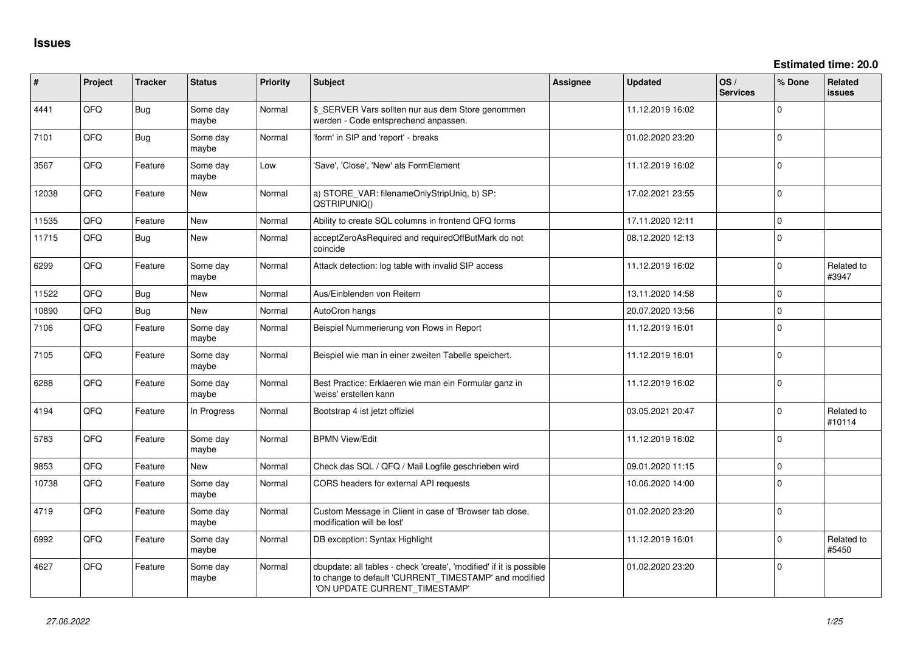**Estimated time: 20.0**

| #     | Project | <b>Tracker</b> | <b>Status</b>     | <b>Priority</b> | <b>Subject</b>                                                                                                                                                | Assignee | <b>Updated</b>   | OS/<br><b>Services</b> | % Done   | Related<br><b>issues</b> |
|-------|---------|----------------|-------------------|-----------------|---------------------------------------------------------------------------------------------------------------------------------------------------------------|----------|------------------|------------------------|----------|--------------------------|
| 4441  | QFQ     | <b>Bug</b>     | Some day<br>maybe | Normal          | \$_SERVER Vars sollten nur aus dem Store genommen<br>werden - Code entsprechend anpassen.                                                                     |          | 11.12.2019 16:02 |                        | $\Omega$ |                          |
| 7101  | QFQ     | Bug            | Some day<br>maybe | Normal          | 'form' in SIP and 'report' - breaks                                                                                                                           |          | 01.02.2020 23:20 |                        | $\Omega$ |                          |
| 3567  | QFQ     | Feature        | Some day<br>maybe | Low             | 'Save', 'Close', 'New' als FormElement                                                                                                                        |          | 11.12.2019 16:02 |                        | $\Omega$ |                          |
| 12038 | QFQ     | Feature        | New               | Normal          | a) STORE_VAR: filenameOnlyStripUniq, b) SP:<br>QSTRIPUNIQ()                                                                                                   |          | 17.02.2021 23:55 |                        | $\Omega$ |                          |
| 11535 | QFQ     | Feature        | New               | Normal          | Ability to create SQL columns in frontend QFQ forms                                                                                                           |          | 17.11.2020 12:11 |                        | $\Omega$ |                          |
| 11715 | QFQ     | <b>Bug</b>     | New               | Normal          | acceptZeroAsRequired and requiredOffButMark do not<br>coincide                                                                                                |          | 08.12.2020 12:13 |                        | $\Omega$ |                          |
| 6299  | QFQ     | Feature        | Some day<br>maybe | Normal          | Attack detection: log table with invalid SIP access                                                                                                           |          | 11.12.2019 16:02 |                        | $\Omega$ | Related to<br>#3947      |
| 11522 | QFQ     | Bug            | New               | Normal          | Aus/Einblenden von Reitern                                                                                                                                    |          | 13.11.2020 14:58 |                        | $\Omega$ |                          |
| 10890 | QFQ     | Bug            | <b>New</b>        | Normal          | AutoCron hangs                                                                                                                                                |          | 20.07.2020 13:56 |                        | $\Omega$ |                          |
| 7106  | QFQ     | Feature        | Some day<br>maybe | Normal          | Beispiel Nummerierung von Rows in Report                                                                                                                      |          | 11.12.2019 16:01 |                        | $\Omega$ |                          |
| 7105  | QFQ     | Feature        | Some day<br>maybe | Normal          | Beispiel wie man in einer zweiten Tabelle speichert.                                                                                                          |          | 11.12.2019 16:01 |                        | $\Omega$ |                          |
| 6288  | QFQ     | Feature        | Some day<br>maybe | Normal          | Best Practice: Erklaeren wie man ein Formular ganz in<br>'weiss' erstellen kann                                                                               |          | 11.12.2019 16:02 |                        | $\Omega$ |                          |
| 4194  | QFQ     | Feature        | In Progress       | Normal          | Bootstrap 4 ist jetzt offiziel                                                                                                                                |          | 03.05.2021 20:47 |                        | $\Omega$ | Related to<br>#10114     |
| 5783  | QFQ     | Feature        | Some day<br>maybe | Normal          | <b>BPMN View/Edit</b>                                                                                                                                         |          | 11.12.2019 16:02 |                        | $\Omega$ |                          |
| 9853  | QFQ     | Feature        | New               | Normal          | Check das SQL / QFQ / Mail Logfile geschrieben wird                                                                                                           |          | 09.01.2020 11:15 |                        | $\Omega$ |                          |
| 10738 | QFQ     | Feature        | Some day<br>maybe | Normal          | CORS headers for external API requests                                                                                                                        |          | 10.06.2020 14:00 |                        | $\Omega$ |                          |
| 4719  | QFQ     | Feature        | Some day<br>maybe | Normal          | Custom Message in Client in case of 'Browser tab close,<br>modification will be lost'                                                                         |          | 01.02.2020 23:20 |                        | $\Omega$ |                          |
| 6992  | QFQ     | Feature        | Some day<br>maybe | Normal          | DB exception: Syntax Highlight                                                                                                                                |          | 11.12.2019 16:01 |                        | $\Omega$ | Related to<br>#5450      |
| 4627  | QFQ     | Feature        | Some day<br>maybe | Normal          | dbupdate: all tables - check 'create', 'modified' if it is possible<br>to change to default 'CURRENT_TIMESTAMP' and modified<br>'ON UPDATE CURRENT_TIMESTAMP' |          | 01.02.2020 23:20 |                        | $\Omega$ |                          |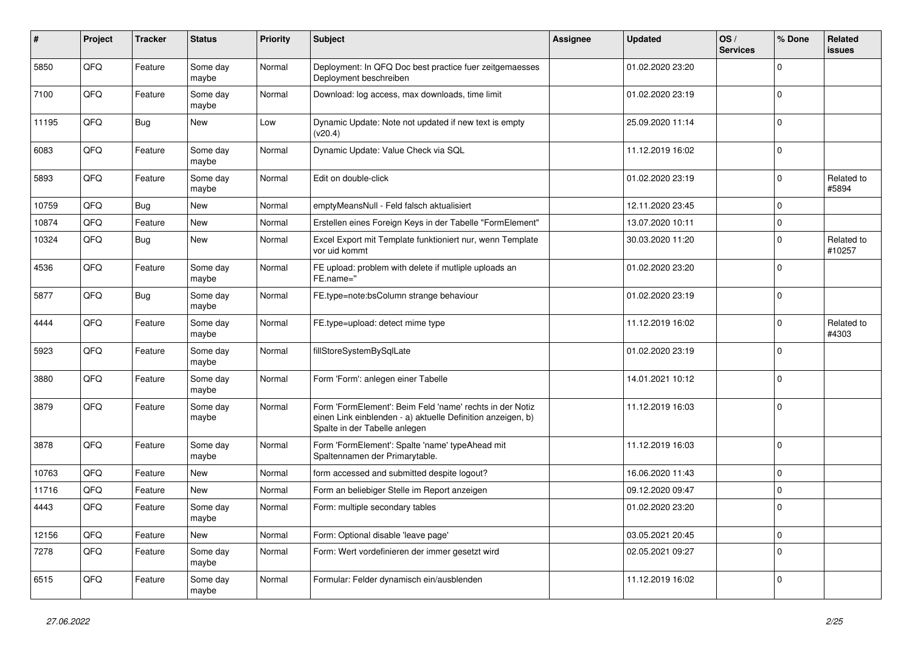| ∦     | Project | <b>Tracker</b> | <b>Status</b>     | <b>Priority</b> | <b>Subject</b>                                                                                                                                           | Assignee | <b>Updated</b>   | OS/<br><b>Services</b> | % Done         | Related<br>issues    |
|-------|---------|----------------|-------------------|-----------------|----------------------------------------------------------------------------------------------------------------------------------------------------------|----------|------------------|------------------------|----------------|----------------------|
| 5850  | QFQ     | Feature        | Some day<br>maybe | Normal          | Deployment: In QFQ Doc best practice fuer zeitgemaesses<br>Deployment beschreiben                                                                        |          | 01.02.2020 23:20 |                        | $\Omega$       |                      |
| 7100  | QFQ     | Feature        | Some day<br>maybe | Normal          | Download: log access, max downloads, time limit                                                                                                          |          | 01.02.2020 23:19 |                        | $\mathbf 0$    |                      |
| 11195 | QFQ     | Bug            | <b>New</b>        | Low             | Dynamic Update: Note not updated if new text is empty<br>(v20.4)                                                                                         |          | 25.09.2020 11:14 |                        | $\Omega$       |                      |
| 6083  | QFQ     | Feature        | Some day<br>maybe | Normal          | Dynamic Update: Value Check via SQL                                                                                                                      |          | 11.12.2019 16:02 |                        | $\Omega$       |                      |
| 5893  | QFQ     | Feature        | Some day<br>maybe | Normal          | Edit on double-click                                                                                                                                     |          | 01.02.2020 23:19 |                        | 0              | Related to<br>#5894  |
| 10759 | QFQ     | Bug            | <b>New</b>        | Normal          | emptyMeansNull - Feld falsch aktualisiert                                                                                                                |          | 12.11.2020 23:45 |                        | $\Omega$       |                      |
| 10874 | QFQ     | Feature        | <b>New</b>        | Normal          | Erstellen eines Foreign Keys in der Tabelle "FormElement"                                                                                                |          | 13.07.2020 10:11 |                        | $\mathbf 0$    |                      |
| 10324 | QFQ     | Bug            | <b>New</b>        | Normal          | Excel Export mit Template funktioniert nur, wenn Template<br>vor uid kommt                                                                               |          | 30.03.2020 11:20 |                        | $\Omega$       | Related to<br>#10257 |
| 4536  | QFQ     | Feature        | Some day<br>maybe | Normal          | FE upload: problem with delete if mutliple uploads an<br>FE.name="                                                                                       |          | 01.02.2020 23:20 |                        | $\Omega$       |                      |
| 5877  | QFQ     | Bug            | Some day<br>maybe | Normal          | FE.type=note:bsColumn strange behaviour                                                                                                                  |          | 01.02.2020 23:19 |                        | $\Omega$       |                      |
| 4444  | QFQ     | Feature        | Some day<br>maybe | Normal          | FE.type=upload: detect mime type                                                                                                                         |          | 11.12.2019 16:02 |                        | $\Omega$       | Related to<br>#4303  |
| 5923  | QFQ     | Feature        | Some day<br>maybe | Normal          | fillStoreSystemBySqlLate                                                                                                                                 |          | 01.02.2020 23:19 |                        | $\mathbf 0$    |                      |
| 3880  | QFQ     | Feature        | Some day<br>maybe | Normal          | Form 'Form': anlegen einer Tabelle                                                                                                                       |          | 14.01.2021 10:12 |                        | $\mathbf 0$    |                      |
| 3879  | QFQ     | Feature        | Some day<br>maybe | Normal          | Form 'FormElement': Beim Feld 'name' rechts in der Notiz<br>einen Link einblenden - a) aktuelle Definition anzeigen, b)<br>Spalte in der Tabelle anlegen |          | 11.12.2019 16:03 |                        | $\Omega$       |                      |
| 3878  | QFQ     | Feature        | Some day<br>maybe | Normal          | Form 'FormElement': Spalte 'name' typeAhead mit<br>Spaltennamen der Primarytable.                                                                        |          | 11.12.2019 16:03 |                        | $\overline{0}$ |                      |
| 10763 | QFQ     | Feature        | <b>New</b>        | Normal          | form accessed and submitted despite logout?                                                                                                              |          | 16.06.2020 11:43 |                        | $\Omega$       |                      |
| 11716 | QFQ     | Feature        | <b>New</b>        | Normal          | Form an beliebiger Stelle im Report anzeigen                                                                                                             |          | 09.12.2020 09:47 |                        | $\Omega$       |                      |
| 4443  | QFQ     | Feature        | Some day<br>maybe | Normal          | Form: multiple secondary tables                                                                                                                          |          | 01.02.2020 23:20 |                        | $\Omega$       |                      |
| 12156 | QFQ     | Feature        | <b>New</b>        | Normal          | Form: Optional disable 'leave page'                                                                                                                      |          | 03.05.2021 20:45 |                        | $\Omega$       |                      |
| 7278  | QFQ     | Feature        | Some day<br>maybe | Normal          | Form: Wert vordefinieren der immer gesetzt wird                                                                                                          |          | 02.05.2021 09:27 |                        | $\Omega$       |                      |
| 6515  | QFQ     | Feature        | Some day<br>maybe | Normal          | Formular: Felder dynamisch ein/ausblenden                                                                                                                |          | 11.12.2019 16:02 |                        | $\Omega$       |                      |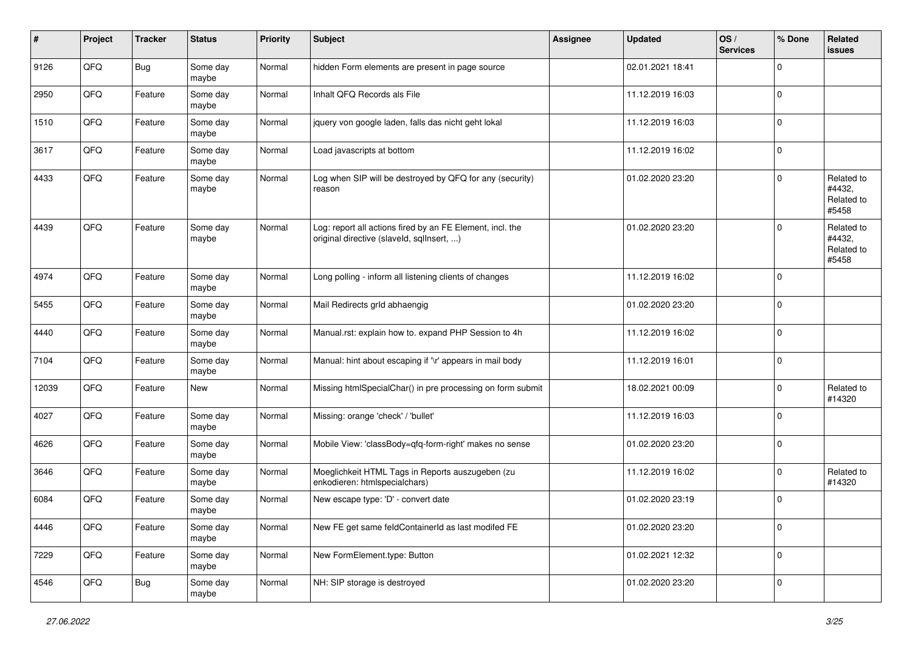| #     | Project | <b>Tracker</b> | <b>Status</b>     | <b>Priority</b> | Subject                                                                                                | <b>Assignee</b> | <b>Updated</b>   | OS/<br><b>Services</b> | % Done      | Related<br><b>issues</b>                    |
|-------|---------|----------------|-------------------|-----------------|--------------------------------------------------------------------------------------------------------|-----------------|------------------|------------------------|-------------|---------------------------------------------|
| 9126  | QFQ     | Bug            | Some day<br>maybe | Normal          | hidden Form elements are present in page source                                                        |                 | 02.01.2021 18:41 |                        | $\Omega$    |                                             |
| 2950  | QFQ     | Feature        | Some day<br>maybe | Normal          | Inhalt QFQ Records als File                                                                            |                 | 11.12.2019 16:03 |                        | 0           |                                             |
| 1510  | QFQ     | Feature        | Some day<br>maybe | Normal          | jquery von google laden, falls das nicht geht lokal                                                    |                 | 11.12.2019 16:03 |                        | $\mathbf 0$ |                                             |
| 3617  | QFQ     | Feature        | Some day<br>maybe | Normal          | Load javascripts at bottom                                                                             |                 | 11.12.2019 16:02 |                        | $\mathbf 0$ |                                             |
| 4433  | QFQ     | Feature        | Some day<br>maybe | Normal          | Log when SIP will be destroyed by QFQ for any (security)<br>reason                                     |                 | 01.02.2020 23:20 |                        | $\Omega$    | Related to<br>#4432,<br>Related to<br>#5458 |
| 4439  | QFQ     | Feature        | Some day<br>maybe | Normal          | Log: report all actions fired by an FE Element, incl. the<br>original directive (slaveld, sqllnsert, ) |                 | 01.02.2020 23:20 |                        | $\Omega$    | Related to<br>#4432,<br>Related to<br>#5458 |
| 4974  | QFQ     | Feature        | Some day<br>maybe | Normal          | Long polling - inform all listening clients of changes                                                 |                 | 11.12.2019 16:02 |                        | 0           |                                             |
| 5455  | QFQ     | Feature        | Some day<br>maybe | Normal          | Mail Redirects grld abhaengig                                                                          |                 | 01.02.2020 23:20 |                        | $\Omega$    |                                             |
| 4440  | QFQ     | Feature        | Some day<br>maybe | Normal          | Manual.rst: explain how to. expand PHP Session to 4h                                                   |                 | 11.12.2019 16:02 |                        | $\mathbf 0$ |                                             |
| 7104  | QFQ     | Feature        | Some day<br>maybe | Normal          | Manual: hint about escaping if '\r' appears in mail body                                               |                 | 11.12.2019 16:01 |                        | $\mathbf 0$ |                                             |
| 12039 | QFQ     | Feature        | New               | Normal          | Missing htmlSpecialChar() in pre processing on form submit                                             |                 | 18.02.2021 00:09 |                        | $\Omega$    | Related to<br>#14320                        |
| 4027  | QFQ     | Feature        | Some day<br>maybe | Normal          | Missing: orange 'check' / 'bullet'                                                                     |                 | 11.12.2019 16:03 |                        | 0           |                                             |
| 4626  | QFQ     | Feature        | Some day<br>maybe | Normal          | Mobile View: 'classBody=qfq-form-right' makes no sense                                                 |                 | 01.02.2020 23:20 |                        | 0           |                                             |
| 3646  | QFQ     | Feature        | Some day<br>maybe | Normal          | Moeglichkeit HTML Tags in Reports auszugeben (zu<br>enkodieren: htmlspecialchars)                      |                 | 11.12.2019 16:02 |                        | $\mathbf 0$ | Related to<br>#14320                        |
| 6084  | QFQ     | Feature        | Some day<br>maybe | Normal          | New escape type: 'D' - convert date                                                                    |                 | 01.02.2020 23:19 |                        | $\Omega$    |                                             |
| 4446  | QFG     | Feature        | Some day<br>maybe | Normal          | New FE get same feldContainerId as last modifed FE                                                     |                 | 01.02.2020 23:20 |                        | 0           |                                             |
| 7229  | QFQ     | Feature        | Some day<br>maybe | Normal          | New FormElement.type: Button                                                                           |                 | 01.02.2021 12:32 |                        | 0           |                                             |
| 4546  | QFQ     | <b>Bug</b>     | Some day<br>maybe | Normal          | NH: SIP storage is destroyed                                                                           |                 | 01.02.2020 23:20 |                        | $\mathbf 0$ |                                             |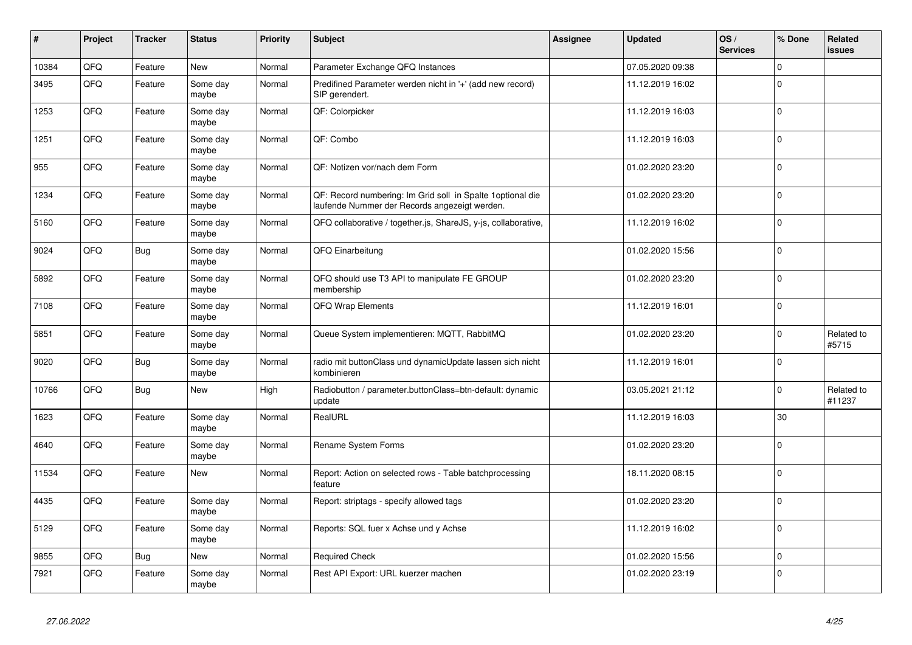| #     | Project | <b>Tracker</b> | <b>Status</b>     | Priority | Subject                                                                                                      | Assignee | <b>Updated</b>   | OS/<br><b>Services</b> | % Done      | Related<br><b>issues</b> |
|-------|---------|----------------|-------------------|----------|--------------------------------------------------------------------------------------------------------------|----------|------------------|------------------------|-------------|--------------------------|
| 10384 | QFQ     | Feature        | New               | Normal   | Parameter Exchange QFQ Instances                                                                             |          | 07.05.2020 09:38 |                        | $\Omega$    |                          |
| 3495  | QFQ     | Feature        | Some day<br>maybe | Normal   | Predifined Parameter werden nicht in '+' (add new record)<br>SIP gerendert.                                  |          | 11.12.2019 16:02 |                        | 0           |                          |
| 1253  | QFQ     | Feature        | Some day<br>maybe | Normal   | QF: Colorpicker                                                                                              |          | 11.12.2019 16:03 |                        | $\Omega$    |                          |
| 1251  | QFQ     | Feature        | Some day<br>maybe | Normal   | QF: Combo                                                                                                    |          | 11.12.2019 16:03 |                        | $\Omega$    |                          |
| 955   | QFQ     | Feature        | Some day<br>maybe | Normal   | QF: Notizen vor/nach dem Form                                                                                |          | 01.02.2020 23:20 |                        | $\Omega$    |                          |
| 1234  | QFQ     | Feature        | Some day<br>maybe | Normal   | QF: Record numbering: Im Grid soll in Spalte 1 optional die<br>laufende Nummer der Records angezeigt werden. |          | 01.02.2020 23:20 |                        | $\Omega$    |                          |
| 5160  | QFQ     | Feature        | Some day<br>maybe | Normal   | QFQ collaborative / together.js, ShareJS, y-js, collaborative,                                               |          | 11.12.2019 16:02 |                        | $\mathbf 0$ |                          |
| 9024  | QFQ     | <b>Bug</b>     | Some day<br>maybe | Normal   | QFQ Einarbeitung                                                                                             |          | 01.02.2020 15:56 |                        | $\Omega$    |                          |
| 5892  | QFQ     | Feature        | Some day<br>maybe | Normal   | QFQ should use T3 API to manipulate FE GROUP<br>membership                                                   |          | 01.02.2020 23:20 |                        | $\Omega$    |                          |
| 7108  | QFQ     | Feature        | Some day<br>maybe | Normal   | QFQ Wrap Elements                                                                                            |          | 11.12.2019 16:01 |                        | $\Omega$    |                          |
| 5851  | QFQ     | Feature        | Some day<br>maybe | Normal   | Queue System implementieren: MQTT, RabbitMQ                                                                  |          | 01.02.2020 23:20 |                        | $\Omega$    | Related to<br>#5715      |
| 9020  | QFQ     | Bug            | Some day<br>maybe | Normal   | radio mit buttonClass und dynamicUpdate lassen sich nicht<br>kombinieren                                     |          | 11.12.2019 16:01 |                        | $\Omega$    |                          |
| 10766 | QFQ     | Bug            | New               | High     | Radiobutton / parameter.buttonClass=btn-default: dynamic<br>update                                           |          | 03.05.2021 21:12 |                        | $\Omega$    | Related to<br>#11237     |
| 1623  | QFQ     | Feature        | Some day<br>maybe | Normal   | RealURL                                                                                                      |          | 11.12.2019 16:03 |                        | 30          |                          |
| 4640  | QFQ     | Feature        | Some day<br>maybe | Normal   | Rename System Forms                                                                                          |          | 01.02.2020 23:20 |                        | $\Omega$    |                          |
| 11534 | QFQ     | Feature        | New               | Normal   | Report: Action on selected rows - Table batchprocessing<br>feature                                           |          | 18.11.2020 08:15 |                        | $\Omega$    |                          |
| 4435  | QFQ     | Feature        | Some day<br>maybe | Normal   | Report: striptags - specify allowed tags                                                                     |          | 01.02.2020 23:20 |                        | $\Omega$    |                          |
| 5129  | QFQ     | Feature        | Some day<br>maybe | Normal   | Reports: SQL fuer x Achse und y Achse                                                                        |          | 11.12.2019 16:02 |                        | $\Omega$    |                          |
| 9855  | QFQ     | <b>Bug</b>     | New               | Normal   | <b>Required Check</b>                                                                                        |          | 01.02.2020 15:56 |                        | $\mathbf 0$ |                          |
| 7921  | QFQ     | Feature        | Some day<br>maybe | Normal   | Rest API Export: URL kuerzer machen                                                                          |          | 01.02.2020 23:19 |                        | $\Omega$    |                          |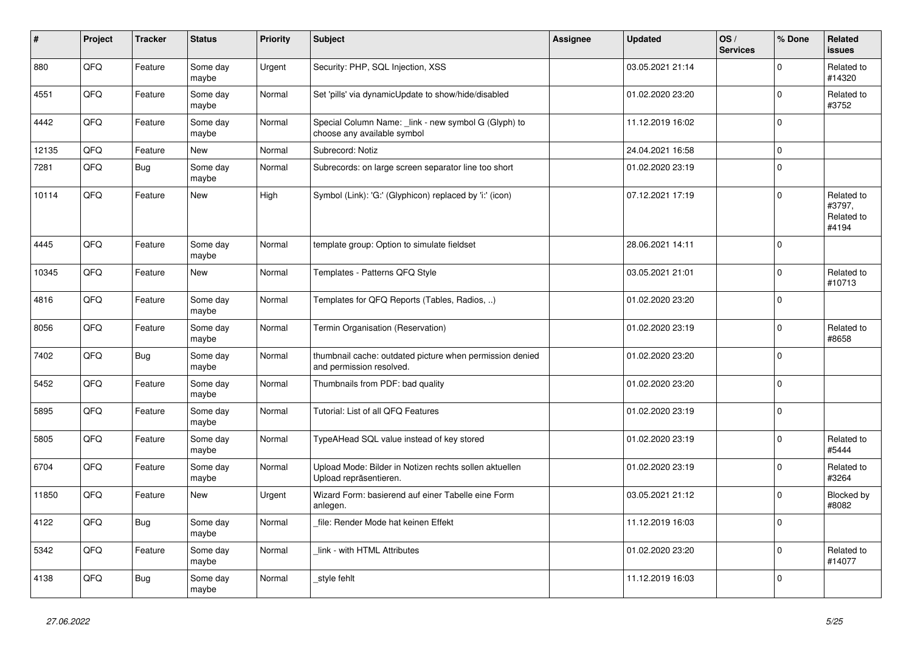| #     | Project | <b>Tracker</b> | <b>Status</b>     | <b>Priority</b> | <b>Subject</b>                                                                       | <b>Assignee</b> | <b>Updated</b>   | OS/<br><b>Services</b> | % Done      | <b>Related</b><br><b>issues</b>             |
|-------|---------|----------------|-------------------|-----------------|--------------------------------------------------------------------------------------|-----------------|------------------|------------------------|-------------|---------------------------------------------|
| 880   | QFQ     | Feature        | Some day<br>maybe | Urgent          | Security: PHP, SQL Injection, XSS                                                    |                 | 03.05.2021 21:14 |                        | $\Omega$    | Related to<br>#14320                        |
| 4551  | QFQ     | Feature        | Some day<br>maybe | Normal          | Set 'pills' via dynamicUpdate to show/hide/disabled                                  |                 | 01.02.2020 23:20 |                        | $\mathbf 0$ | Related to<br>#3752                         |
| 4442  | QFQ     | Feature        | Some day<br>maybe | Normal          | Special Column Name: _link - new symbol G (Glyph) to<br>choose any available symbol  |                 | 11.12.2019 16:02 |                        | $\Omega$    |                                             |
| 12135 | QFQ     | Feature        | <b>New</b>        | Normal          | Subrecord: Notiz                                                                     |                 | 24.04.2021 16:58 |                        | $\mathbf 0$ |                                             |
| 7281  | QFQ     | Bug            | Some day<br>maybe | Normal          | Subrecords: on large screen separator line too short                                 |                 | 01.02.2020 23:19 |                        | $\mathsf 0$ |                                             |
| 10114 | QFQ     | Feature        | <b>New</b>        | High            | Symbol (Link): 'G:' (Glyphicon) replaced by 'i:' (icon)                              |                 | 07.12.2021 17:19 |                        | $\mathbf 0$ | Related to<br>#3797,<br>Related to<br>#4194 |
| 4445  | QFQ     | Feature        | Some day<br>maybe | Normal          | template group: Option to simulate fieldset                                          |                 | 28.06.2021 14:11 |                        | $\mathbf 0$ |                                             |
| 10345 | QFQ     | Feature        | New               | Normal          | Templates - Patterns QFQ Style                                                       |                 | 03.05.2021 21:01 |                        | $\mathsf 0$ | Related to<br>#10713                        |
| 4816  | QFQ     | Feature        | Some day<br>maybe | Normal          | Templates for QFQ Reports (Tables, Radios, )                                         |                 | 01.02.2020 23:20 |                        | $\mathbf 0$ |                                             |
| 8056  | QFQ     | Feature        | Some day<br>maybe | Normal          | Termin Organisation (Reservation)                                                    |                 | 01.02.2020 23:19 |                        | $\mathbf 0$ | Related to<br>#8658                         |
| 7402  | QFQ     | <b>Bug</b>     | Some day<br>maybe | Normal          | thumbnail cache: outdated picture when permission denied<br>and permission resolved. |                 | 01.02.2020 23:20 |                        | $\Omega$    |                                             |
| 5452  | QFQ     | Feature        | Some day<br>maybe | Normal          | Thumbnails from PDF: bad quality                                                     |                 | 01.02.2020 23:20 |                        | $\pmb{0}$   |                                             |
| 5895  | QFQ     | Feature        | Some day<br>maybe | Normal          | Tutorial: List of all QFQ Features                                                   |                 | 01.02.2020 23:19 |                        | $\mathbf 0$ |                                             |
| 5805  | QFQ     | Feature        | Some day<br>maybe | Normal          | TypeAHead SQL value instead of key stored                                            |                 | 01.02.2020 23:19 |                        | $\mathbf 0$ | Related to<br>#5444                         |
| 6704  | QFQ     | Feature        | Some day<br>maybe | Normal          | Upload Mode: Bilder in Notizen rechts sollen aktuellen<br>Upload repräsentieren.     |                 | 01.02.2020 23:19 |                        | $\mathbf 0$ | Related to<br>#3264                         |
| 11850 | QFQ     | Feature        | New               | Urgent          | Wizard Form: basierend auf einer Tabelle eine Form<br>anlegen.                       |                 | 03.05.2021 21:12 |                        | $\mathbf 0$ | Blocked by<br>#8082                         |
| 4122  | QFQ     | Bug            | Some day<br>maybe | Normal          | file: Render Mode hat keinen Effekt                                                  |                 | 11.12.2019 16:03 |                        | $\Omega$    |                                             |
| 5342  | QFQ     | Feature        | Some day<br>maybe | Normal          | link - with HTML Attributes                                                          |                 | 01.02.2020 23:20 |                        | $\mathbf 0$ | Related to<br>#14077                        |
| 4138  | QFQ     | Bug            | Some day<br>maybe | Normal          | style fehlt                                                                          |                 | 11.12.2019 16:03 |                        | $\Omega$    |                                             |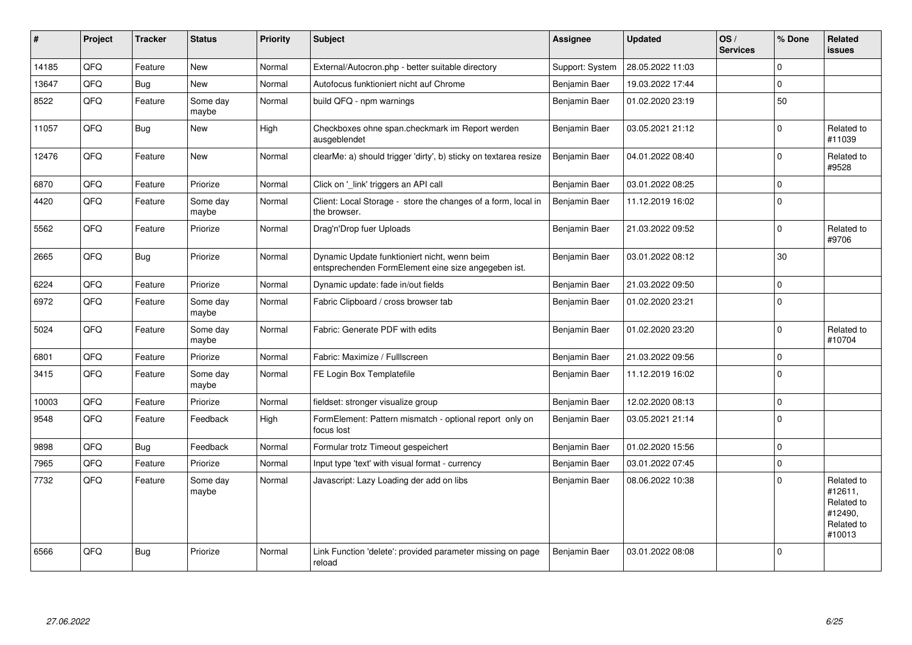| #     | Project | <b>Tracker</b> | <b>Status</b>     | <b>Priority</b> | <b>Subject</b>                                                                                      | <b>Assignee</b> | <b>Updated</b>   | OS/<br><b>Services</b> | % Done         | Related<br><b>issues</b>                                               |
|-------|---------|----------------|-------------------|-----------------|-----------------------------------------------------------------------------------------------------|-----------------|------------------|------------------------|----------------|------------------------------------------------------------------------|
| 14185 | QFQ     | Feature        | <b>New</b>        | Normal          | External/Autocron.php - better suitable directory                                                   | Support: System | 28.05.2022 11:03 |                        | $\Omega$       |                                                                        |
| 13647 | QFQ     | Bug            | <b>New</b>        | Normal          | Autofocus funktioniert nicht auf Chrome                                                             | Benjamin Baer   | 19.03.2022 17:44 |                        | $\mathbf 0$    |                                                                        |
| 8522  | QFQ     | Feature        | Some day<br>maybe | Normal          | build QFQ - npm warnings                                                                            | Benjamin Baer   | 01.02.2020 23:19 |                        | 50             |                                                                        |
| 11057 | QFQ     | <b>Bug</b>     | New               | High            | Checkboxes ohne span.checkmark im Report werden<br>ausgeblendet                                     | Benjamin Baer   | 03.05.2021 21:12 |                        | $\Omega$       | Related to<br>#11039                                                   |
| 12476 | QFQ     | Feature        | New               | Normal          | clearMe: a) should trigger 'dirty', b) sticky on textarea resize                                    | Benjamin Baer   | 04.01.2022 08:40 |                        | $\Omega$       | Related to<br>#9528                                                    |
| 6870  | QFQ     | Feature        | Priorize          | Normal          | Click on '_link' triggers an API call                                                               | Benjamin Baer   | 03.01.2022 08:25 |                        | $\mathbf 0$    |                                                                        |
| 4420  | QFQ     | Feature        | Some day<br>maybe | Normal          | Client: Local Storage - store the changes of a form, local in<br>the browser.                       | Benjamin Baer   | 11.12.2019 16:02 |                        | $\Omega$       |                                                                        |
| 5562  | QFQ     | Feature        | Priorize          | Normal          | Drag'n'Drop fuer Uploads                                                                            | Benjamin Baer   | 21.03.2022 09:52 |                        | $\Omega$       | Related to<br>#9706                                                    |
| 2665  | QFQ     | <b>Bug</b>     | Priorize          | Normal          | Dynamic Update funktioniert nicht, wenn beim<br>entsprechenden FormElement eine size angegeben ist. | Benjamin Baer   | 03.01.2022 08:12 |                        | 30             |                                                                        |
| 6224  | QFQ     | Feature        | Priorize          | Normal          | Dynamic update: fade in/out fields                                                                  | Benjamin Baer   | 21.03.2022 09:50 |                        | $\Omega$       |                                                                        |
| 6972  | QFQ     | Feature        | Some day<br>maybe | Normal          | Fabric Clipboard / cross browser tab                                                                | Benjamin Baer   | 01.02.2020 23:21 |                        | $\mathbf 0$    |                                                                        |
| 5024  | QFQ     | Feature        | Some day<br>maybe | Normal          | Fabric: Generate PDF with edits                                                                     | Benjamin Baer   | 01.02.2020 23:20 |                        | $\mathbf 0$    | Related to<br>#10704                                                   |
| 6801  | QFQ     | Feature        | Priorize          | Normal          | Fabric: Maximize / FullIscreen                                                                      | Benjamin Baer   | 21.03.2022 09:56 |                        | $\mathbf 0$    |                                                                        |
| 3415  | QFQ     | Feature        | Some day<br>maybe | Normal          | FE Login Box Templatefile                                                                           | Benjamin Baer   | 11.12.2019 16:02 |                        | $\Omega$       |                                                                        |
| 10003 | QFQ     | Feature        | Priorize          | Normal          | fieldset: stronger visualize group                                                                  | Benjamin Baer   | 12.02.2020 08:13 |                        | $\mathbf 0$    |                                                                        |
| 9548  | QFQ     | Feature        | Feedback          | High            | FormElement: Pattern mismatch - optional report only on<br>focus lost                               | Benjamin Baer   | 03.05.2021 21:14 |                        | $\overline{0}$ |                                                                        |
| 9898  | QFQ     | <b>Bug</b>     | Feedback          | Normal          | Formular trotz Timeout gespeichert                                                                  | Benjamin Baer   | 01.02.2020 15:56 |                        | $\mathbf 0$    |                                                                        |
| 7965  | QFQ     | Feature        | Priorize          | Normal          | Input type 'text' with visual format - currency                                                     | Benjamin Baer   | 03.01.2022 07:45 |                        | $\Omega$       |                                                                        |
| 7732  | QFQ     | Feature        | Some day<br>maybe | Normal          | Javascript: Lazy Loading der add on libs                                                            | Benjamin Baer   | 08.06.2022 10:38 |                        | $\Omega$       | Related to<br>#12611,<br>Related to<br>#12490,<br>Related to<br>#10013 |
| 6566  | QFQ     | <b>Bug</b>     | Priorize          | Normal          | Link Function 'delete': provided parameter missing on page<br>reload                                | Benjamin Baer   | 03.01.2022 08:08 |                        | $\Omega$       |                                                                        |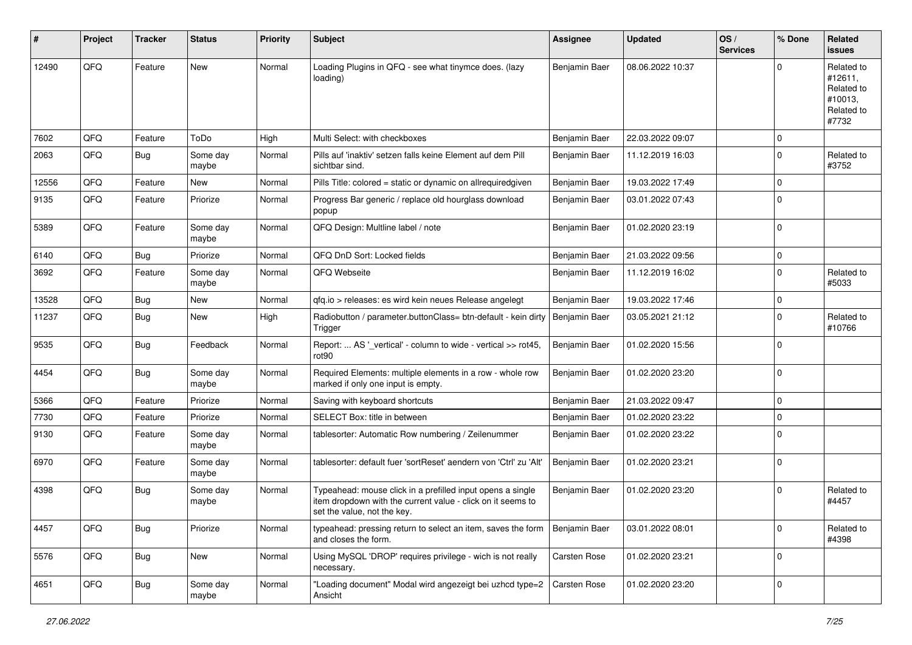| ∦     | Project | <b>Tracker</b> | <b>Status</b>     | <b>Priority</b> | <b>Subject</b>                                                                                                                                           | <b>Assignee</b> | <b>Updated</b>   | OS/<br><b>Services</b> | % Done      | Related<br>issues                                                     |
|-------|---------|----------------|-------------------|-----------------|----------------------------------------------------------------------------------------------------------------------------------------------------------|-----------------|------------------|------------------------|-------------|-----------------------------------------------------------------------|
| 12490 | QFQ     | Feature        | <b>New</b>        | Normal          | Loading Plugins in QFQ - see what tinymce does. (lazy<br>loading)                                                                                        | Benjamin Baer   | 08.06.2022 10:37 |                        | $\Omega$    | Related to<br>#12611,<br>Related to<br>#10013,<br>Related to<br>#7732 |
| 7602  | QFQ     | Feature        | ToDo              | High            | Multi Select: with checkboxes                                                                                                                            | Benjamin Baer   | 22.03.2022 09:07 |                        | $\mathbf 0$ |                                                                       |
| 2063  | QFQ     | Bug            | Some day<br>maybe | Normal          | Pills auf 'inaktiv' setzen falls keine Element auf dem Pill<br>sichtbar sind.                                                                            | Benjamin Baer   | 11.12.2019 16:03 |                        | $\Omega$    | Related to<br>#3752                                                   |
| 12556 | QFQ     | Feature        | <b>New</b>        | Normal          | Pills Title: colored = static or dynamic on allrequiredgiven                                                                                             | Benjamin Baer   | 19.03.2022 17:49 |                        | $\mathbf 0$ |                                                                       |
| 9135  | QFQ     | Feature        | Priorize          | Normal          | Progress Bar generic / replace old hourglass download<br>popup                                                                                           | Benjamin Baer   | 03.01.2022 07:43 |                        | $\Omega$    |                                                                       |
| 5389  | QFQ     | Feature        | Some day<br>maybe | Normal          | QFQ Design: Multline label / note                                                                                                                        | Benjamin Baer   | 01.02.2020 23:19 |                        | $\mathbf 0$ |                                                                       |
| 6140  | QFQ     | Bug            | Priorize          | Normal          | QFQ DnD Sort: Locked fields                                                                                                                              | Benjamin Baer   | 21.03.2022 09:56 |                        | $\mathbf 0$ |                                                                       |
| 3692  | QFQ     | Feature        | Some day<br>maybe | Normal          | QFQ Webseite                                                                                                                                             | Benjamin Baer   | 11.12.2019 16:02 |                        | $\Omega$    | Related to<br>#5033                                                   |
| 13528 | QFQ     | Bug            | <b>New</b>        | Normal          | qfq.io > releases: es wird kein neues Release angelegt                                                                                                   | Benjamin Baer   | 19.03.2022 17:46 |                        | $\mathbf 0$ |                                                                       |
| 11237 | QFQ     | Bug            | New               | High            | Radiobutton / parameter.buttonClass= btn-default - kein dirty<br>Trigger                                                                                 | Benjamin Baer   | 03.05.2021 21:12 |                        | $\Omega$    | Related to<br>#10766                                                  |
| 9535  | QFQ     | Bug            | Feedback          | Normal          | Report:  AS '_vertical' - column to wide - vertical >> rot45,<br>rot <sub>90</sub>                                                                       | Benjamin Baer   | 01.02.2020 15:56 |                        | $\Omega$    |                                                                       |
| 4454  | QFQ     | Bug            | Some day<br>maybe | Normal          | Required Elements: multiple elements in a row - whole row<br>marked if only one input is empty.                                                          | Benjamin Baer   | 01.02.2020 23:20 |                        | $\Omega$    |                                                                       |
| 5366  | QFQ     | Feature        | Priorize          | Normal          | Saving with keyboard shortcuts                                                                                                                           | Benjamin Baer   | 21.03.2022 09:47 |                        | $\Omega$    |                                                                       |
| 7730  | QFQ     | Feature        | Priorize          | Normal          | SELECT Box: title in between                                                                                                                             | Benjamin Baer   | 01.02.2020 23:22 |                        | $\mathbf 0$ |                                                                       |
| 9130  | QFQ     | Feature        | Some day<br>maybe | Normal          | tablesorter: Automatic Row numbering / Zeilenummer                                                                                                       | Benjamin Baer   | 01.02.2020 23:22 |                        | $\Omega$    |                                                                       |
| 6970  | QFQ     | Feature        | Some day<br>maybe | Normal          | tablesorter: default fuer 'sortReset' aendern von 'Ctrl' zu 'Alt'                                                                                        | Benjamin Baer   | 01.02.2020 23:21 |                        | $\Omega$    |                                                                       |
| 4398  | QFQ     | Bug            | Some day<br>maybe | Normal          | Typeahead: mouse click in a prefilled input opens a single<br>item dropdown with the current value - click on it seems to<br>set the value, not the key. | Benjamin Baer   | 01.02.2020 23:20 |                        | $\Omega$    | Related to<br>#4457                                                   |
| 4457  | QFQ     | <b>Bug</b>     | Priorize          | Normal          | typeahead: pressing return to select an item, saves the form<br>and closes the form.                                                                     | Benjamin Baer   | 03.01.2022 08:01 |                        | $\mathbf 0$ | Related to<br>#4398                                                   |
| 5576  | QFQ     | <b>Bug</b>     | <b>New</b>        | Normal          | Using MySQL 'DROP' requires privilege - wich is not really<br>necessary.                                                                                 | Carsten Rose    | 01.02.2020 23:21 |                        | $\mathbf 0$ |                                                                       |
| 4651  | QFQ     | Bug            | Some day<br>maybe | Normal          | 'Loading document" Modal wird angezeigt bei uzhcd type=2<br>Ansicht                                                                                      | Carsten Rose    | 01.02.2020 23:20 |                        | 0           |                                                                       |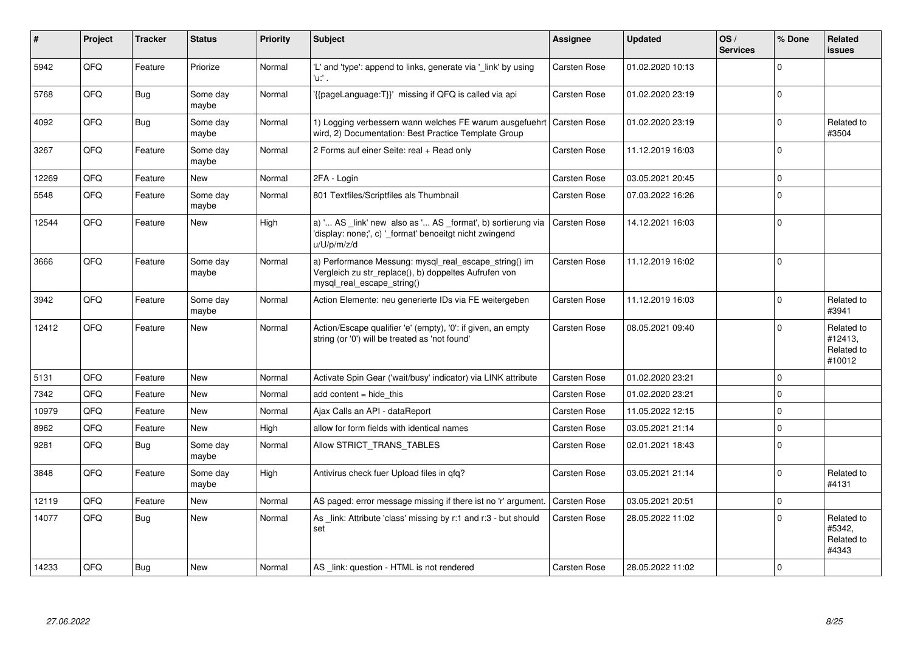| #     | <b>Project</b> | <b>Tracker</b> | <b>Status</b>     | Priority | <b>Subject</b>                                                                                                                               | Assignee            | <b>Updated</b>   | OS/<br><b>Services</b> | % Done   | Related<br><b>issues</b>                      |
|-------|----------------|----------------|-------------------|----------|----------------------------------------------------------------------------------------------------------------------------------------------|---------------------|------------------|------------------------|----------|-----------------------------------------------|
| 5942  | QFQ            | Feature        | Priorize          | Normal   | 'L' and 'type': append to links, generate via '_link' by using<br>'u:' .                                                                     | Carsten Rose        | 01.02.2020 10:13 |                        | $\Omega$ |                                               |
| 5768  | QFQ            | <b>Bug</b>     | Some day<br>maybe | Normal   | '{{pageLanguage:T}}' missing if QFQ is called via api                                                                                        | Carsten Rose        | 01.02.2020 23:19 |                        | $\Omega$ |                                               |
| 4092  | QFQ            | Bug            | Some day<br>maybe | Normal   | 1) Logging verbessern wann welches FE warum ausgefuehrt<br>wird, 2) Documentation: Best Practice Template Group                              | <b>Carsten Rose</b> | 01.02.2020 23:19 |                        | $\Omega$ | Related to<br>#3504                           |
| 3267  | QFQ            | Feature        | Some day<br>maybe | Normal   | 2 Forms auf einer Seite: real + Read only                                                                                                    | <b>Carsten Rose</b> | 11.12.2019 16:03 |                        | $\Omega$ |                                               |
| 12269 | QFQ            | Feature        | New               | Normal   | 2FA - Login                                                                                                                                  | Carsten Rose        | 03.05.2021 20:45 |                        | $\Omega$ |                                               |
| 5548  | QFQ            | Feature        | Some day<br>maybe | Normal   | 801 Textfiles/Scriptfiles als Thumbnail                                                                                                      | Carsten Rose        | 07.03.2022 16:26 |                        | $\Omega$ |                                               |
| 12544 | QFQ            | Feature        | <b>New</b>        | High     | a) ' AS _link' new also as ' AS _format', b) sortierung via<br>'display: none;', c) '_format' benoeitgt nicht zwingend<br>u/U/p/m/z/d        | <b>Carsten Rose</b> | 14.12.2021 16:03 |                        | $\Omega$ |                                               |
| 3666  | QFQ            | Feature        | Some day<br>maybe | Normal   | a) Performance Messung: mysql_real_escape_string() im<br>Vergleich zu str_replace(), b) doppeltes Aufrufen von<br>mysql real escape string() | <b>Carsten Rose</b> | 11.12.2019 16:02 |                        | $\Omega$ |                                               |
| 3942  | QFQ            | Feature        | Some day<br>maybe | Normal   | Action Elemente: neu generierte IDs via FE weitergeben                                                                                       | <b>Carsten Rose</b> | 11.12.2019 16:03 |                        | $\Omega$ | Related to<br>#3941                           |
| 12412 | QFQ            | Feature        | <b>New</b>        | Normal   | Action/Escape qualifier 'e' (empty), '0': if given, an empty<br>string (or '0') will be treated as 'not found'                               | <b>Carsten Rose</b> | 08.05.2021 09:40 |                        | $\Omega$ | Related to<br>#12413,<br>Related to<br>#10012 |
| 5131  | <b>OFO</b>     | Feature        | <b>New</b>        | Normal   | Activate Spin Gear ('wait/busy' indicator) via LINK attribute                                                                                | <b>Carsten Rose</b> | 01.02.2020 23:21 |                        | $\Omega$ |                                               |
| 7342  | QFQ            | Feature        | <b>New</b>        | Normal   | add content $=$ hide this                                                                                                                    | <b>Carsten Rose</b> | 01.02.2020 23:21 |                        | $\Omega$ |                                               |
| 10979 | QFQ            | Feature        | <b>New</b>        | Normal   | Ajax Calls an API - dataReport                                                                                                               | Carsten Rose        | 11.05.2022 12:15 |                        | $\Omega$ |                                               |
| 8962  | QFQ            | Feature        | <b>New</b>        | High     | allow for form fields with identical names                                                                                                   | <b>Carsten Rose</b> | 03.05.2021 21:14 |                        | $\Omega$ |                                               |
| 9281  | QFQ            | <b>Bug</b>     | Some day<br>maybe | Normal   | Allow STRICT TRANS TABLES                                                                                                                    | <b>Carsten Rose</b> | 02.01.2021 18:43 |                        | $\Omega$ |                                               |
| 3848  | QFQ            | Feature        | Some day<br>maybe | High     | Antivirus check fuer Upload files in qfq?                                                                                                    | <b>Carsten Rose</b> | 03.05.2021 21:14 |                        | $\Omega$ | Related to<br>#4131                           |
| 12119 | QFQ            | Feature        | <b>New</b>        | Normal   | AS paged: error message missing if there ist no 'r' argument.                                                                                | <b>Carsten Rose</b> | 03.05.2021 20:51 |                        | $\Omega$ |                                               |
| 14077 | QFQ            | <b>Bug</b>     | <b>New</b>        | Normal   | As link: Attribute 'class' missing by r:1 and r:3 - but should<br>set                                                                        | Carsten Rose        | 28.05.2022 11:02 |                        | $\Omega$ | Related to<br>#5342,<br>Related to<br>#4343   |
| 14233 | QFQ            | Bug            | <b>New</b>        | Normal   | AS _link: question - HTML is not rendered                                                                                                    | <b>Carsten Rose</b> | 28.05.2022 11:02 |                        | $\Omega$ |                                               |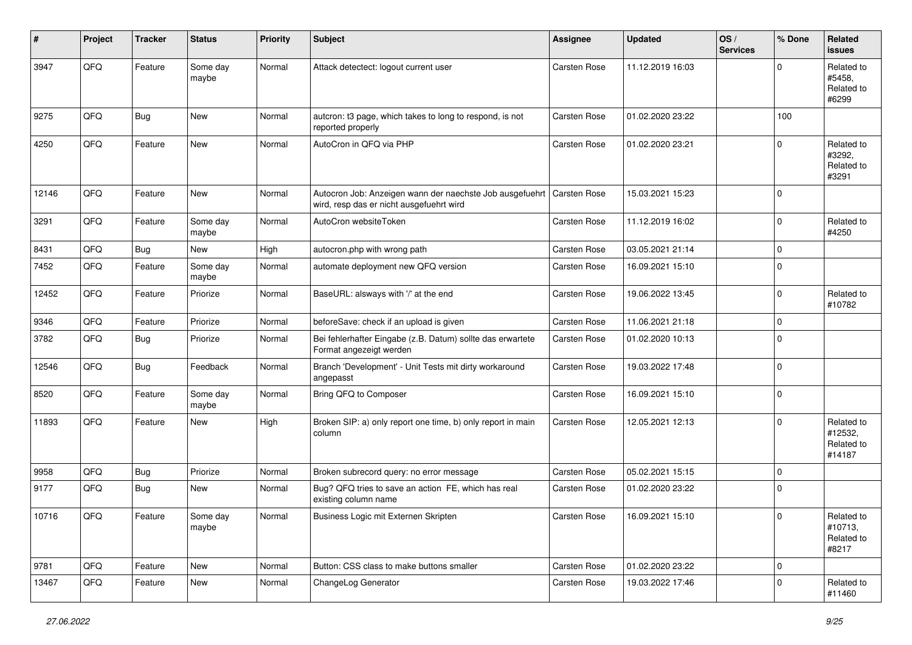| ∦     | Project | <b>Tracker</b> | <b>Status</b>     | <b>Priority</b> | <b>Subject</b>                                                                                                      | <b>Assignee</b> | <b>Updated</b>   | OS/<br><b>Services</b> | % Done              | Related<br><b>issues</b>                      |
|-------|---------|----------------|-------------------|-----------------|---------------------------------------------------------------------------------------------------------------------|-----------------|------------------|------------------------|---------------------|-----------------------------------------------|
| 3947  | QFQ     | Feature        | Some day<br>maybe | Normal          | Attack detectect: logout current user                                                                               | Carsten Rose    | 11.12.2019 16:03 |                        | $\Omega$            | Related to<br>#5458.<br>Related to<br>#6299   |
| 9275  | QFQ     | <b>Bug</b>     | New               | Normal          | autcron: t3 page, which takes to long to respond, is not<br>reported properly                                       | Carsten Rose    | 01.02.2020 23:22 |                        | 100                 |                                               |
| 4250  | QFQ     | Feature        | New               | Normal          | AutoCron in QFQ via PHP                                                                                             | Carsten Rose    | 01.02.2020 23:21 |                        | $\mathbf 0$         | Related to<br>#3292,<br>Related to<br>#3291   |
| 12146 | QFQ     | Feature        | New               | Normal          | Autocron Job: Anzeigen wann der naechste Job ausgefuehrt   Carsten Rose<br>wird, resp das er nicht ausgefuehrt wird |                 | 15.03.2021 15:23 |                        | $\Omega$            |                                               |
| 3291  | QFQ     | Feature        | Some day<br>maybe | Normal          | AutoCron websiteToken                                                                                               | Carsten Rose    | 11.12.2019 16:02 |                        | $\mathbf 0$         | Related to<br>#4250                           |
| 8431  | QFQ     | Bug            | New               | High            | autocron.php with wrong path                                                                                        | Carsten Rose    | 03.05.2021 21:14 |                        | $\mathbf 0$         |                                               |
| 7452  | QFQ     | Feature        | Some day<br>maybe | Normal          | automate deployment new QFQ version                                                                                 | Carsten Rose    | 16.09.2021 15:10 |                        | $\mathbf 0$         |                                               |
| 12452 | QFQ     | Feature        | Priorize          | Normal          | BaseURL: alsways with '/' at the end                                                                                | Carsten Rose    | 19.06.2022 13:45 |                        | $\mathbf 0$         | Related to<br>#10782                          |
| 9346  | QFQ     | Feature        | Priorize          | Normal          | beforeSave: check if an upload is given                                                                             | Carsten Rose    | 11.06.2021 21:18 |                        | $\mathbf 0$         |                                               |
| 3782  | QFQ     | Bug            | Priorize          | Normal          | Bei fehlerhafter Eingabe (z.B. Datum) sollte das erwartete<br>Format angezeigt werden                               | Carsten Rose    | 01.02.2020 10:13 |                        | $\mathbf 0$         |                                               |
| 12546 | QFQ     | Bug            | Feedback          | Normal          | Branch 'Development' - Unit Tests mit dirty workaround<br>angepasst                                                 | Carsten Rose    | 19.03.2022 17:48 |                        | $\mathbf 0$         |                                               |
| 8520  | QFQ     | Feature        | Some day<br>maybe | Normal          | Bring QFQ to Composer                                                                                               | Carsten Rose    | 16.09.2021 15:10 |                        | $\mathbf 0$         |                                               |
| 11893 | QFQ     | Feature        | New               | High            | Broken SIP: a) only report one time, b) only report in main<br>column                                               | Carsten Rose    | 12.05.2021 12:13 |                        | $\Omega$            | Related to<br>#12532,<br>Related to<br>#14187 |
| 9958  | QFQ     | Bug            | Priorize          | Normal          | Broken subrecord query: no error message                                                                            | Carsten Rose    | 05.02.2021 15:15 |                        | $\mathbf 0$         |                                               |
| 9177  | QFQ     | Bug            | New               | Normal          | Bug? QFQ tries to save an action FE, which has real<br>existing column name                                         | Carsten Rose    | 01.02.2020 23:22 |                        | $\mathbf 0$         |                                               |
| 10716 | QFQ     | Feature        | Some day<br>maybe | Normal          | Business Logic mit Externen Skripten                                                                                | Carsten Rose    | 16.09.2021 15:10 |                        | $\pmb{0}$           | Related to<br>#10713,<br>Related to<br>#8217  |
| 9781  | QFQ     | Feature        | New               | Normal          | Button: CSS class to make buttons smaller                                                                           | Carsten Rose    | 01.02.2020 23:22 |                        | $\mathsf{O}\xspace$ |                                               |
| 13467 | QFQ     | Feature        | New               | Normal          | ChangeLog Generator                                                                                                 | Carsten Rose    | 19.03.2022 17:46 |                        | $\mathbf 0$         | Related to<br>#11460                          |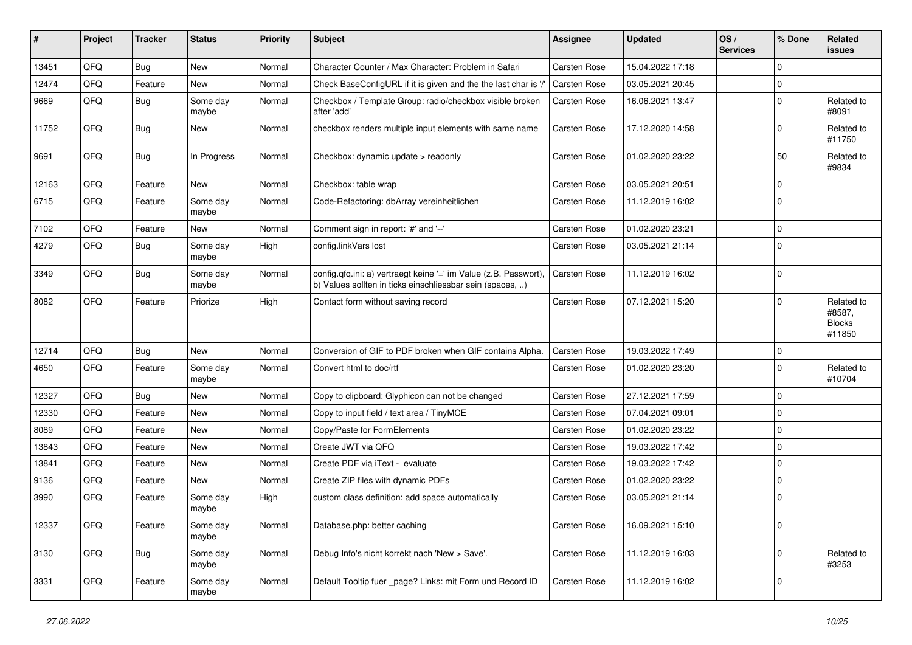| #     | Project | <b>Tracker</b> | <b>Status</b>     | <b>Priority</b> | Subject                                                                                                                       | <b>Assignee</b>     | <b>Updated</b>   | OS/<br><b>Services</b> | % Done              | Related<br><b>issues</b>                        |
|-------|---------|----------------|-------------------|-----------------|-------------------------------------------------------------------------------------------------------------------------------|---------------------|------------------|------------------------|---------------------|-------------------------------------------------|
| 13451 | QFQ     | Bug            | New               | Normal          | Character Counter / Max Character: Problem in Safari                                                                          | Carsten Rose        | 15.04.2022 17:18 |                        | $\mathbf 0$         |                                                 |
| 12474 | QFQ     | Feature        | <b>New</b>        | Normal          | Check BaseConfigURL if it is given and the the last char is '/'                                                               | Carsten Rose        | 03.05.2021 20:45 |                        | $\mathbf 0$         |                                                 |
| 9669  | QFQ     | Bug            | Some day<br>maybe | Normal          | Checkbox / Template Group: radio/checkbox visible broken<br>after 'add'                                                       | Carsten Rose        | 16.06.2021 13:47 |                        | $\mathbf 0$         | Related to<br>#8091                             |
| 11752 | QFQ     | Bug            | New               | Normal          | checkbox renders multiple input elements with same name                                                                       | Carsten Rose        | 17.12.2020 14:58 |                        | $\mathbf 0$         | Related to<br>#11750                            |
| 9691  | QFQ     | <b>Bug</b>     | In Progress       | Normal          | Checkbox: dynamic update > readonly                                                                                           | Carsten Rose        | 01.02.2020 23:22 |                        | 50                  | Related to<br>#9834                             |
| 12163 | QFQ     | Feature        | <b>New</b>        | Normal          | Checkbox: table wrap                                                                                                          | Carsten Rose        | 03.05.2021 20:51 |                        | $\mathbf 0$         |                                                 |
| 6715  | QFQ     | Feature        | Some day<br>maybe | Normal          | Code-Refactoring: dbArray vereinheitlichen                                                                                    | Carsten Rose        | 11.12.2019 16:02 |                        | $\mathbf 0$         |                                                 |
| 7102  | QFQ     | Feature        | New               | Normal          | Comment sign in report: '#' and '--'                                                                                          | Carsten Rose        | 01.02.2020 23:21 |                        | $\mathbf 0$         |                                                 |
| 4279  | QFQ     | Bug            | Some day<br>maybe | High            | config.linkVars lost                                                                                                          | Carsten Rose        | 03.05.2021 21:14 |                        | $\Omega$            |                                                 |
| 3349  | QFQ     | <b>Bug</b>     | Some day<br>maybe | Normal          | config.qfq.ini: a) vertraegt keine '=' im Value (z.B. Passwort),<br>b) Values sollten in ticks einschliessbar sein (spaces, ) | Carsten Rose        | 11.12.2019 16:02 |                        | $\mathbf 0$         |                                                 |
| 8082  | QFQ     | Feature        | Priorize          | High            | Contact form without saving record                                                                                            | Carsten Rose        | 07.12.2021 15:20 |                        | $\mathbf 0$         | Related to<br>#8587,<br><b>Blocks</b><br>#11850 |
| 12714 | QFQ     | Bug            | <b>New</b>        | Normal          | Conversion of GIF to PDF broken when GIF contains Alpha.                                                                      | Carsten Rose        | 19.03.2022 17:49 |                        | $\mathbf 0$         |                                                 |
| 4650  | QFQ     | Feature        | Some day<br>maybe | Normal          | Convert html to doc/rtf                                                                                                       | <b>Carsten Rose</b> | 01.02.2020 23:20 |                        | $\mathbf 0$         | Related to<br>#10704                            |
| 12327 | QFQ     | Bug            | <b>New</b>        | Normal          | Copy to clipboard: Glyphicon can not be changed                                                                               | Carsten Rose        | 27.12.2021 17:59 |                        | $\mathbf 0$         |                                                 |
| 12330 | QFQ     | Feature        | New               | Normal          | Copy to input field / text area / TinyMCE                                                                                     | Carsten Rose        | 07.04.2021 09:01 |                        | $\mathbf 0$         |                                                 |
| 8089  | QFQ     | Feature        | <b>New</b>        | Normal          | Copy/Paste for FormElements                                                                                                   | Carsten Rose        | 01.02.2020 23:22 |                        | $\mathbf 0$         |                                                 |
| 13843 | QFQ     | Feature        | <b>New</b>        | Normal          | Create JWT via QFQ                                                                                                            | Carsten Rose        | 19.03.2022 17:42 |                        | $\mathbf 0$         |                                                 |
| 13841 | QFQ     | Feature        | <b>New</b>        | Normal          | Create PDF via iText - evaluate                                                                                               | Carsten Rose        | 19.03.2022 17:42 |                        | $\mathbf 0$         |                                                 |
| 9136  | QFQ     | Feature        | New               | Normal          | Create ZIP files with dynamic PDFs                                                                                            | Carsten Rose        | 01.02.2020 23:22 |                        | $\mathbf 0$         |                                                 |
| 3990  | QFQ     | Feature        | Some day<br>maybe | High            | custom class definition: add space automatically                                                                              | Carsten Rose        | 03.05.2021 21:14 |                        | $\mathbf 0$         |                                                 |
| 12337 | QFQ     | Feature        | Some day<br>maybe | Normal          | Database.php: better caching                                                                                                  | Carsten Rose        | 16.09.2021 15:10 |                        | $\mathsf{O}\xspace$ |                                                 |
| 3130  | QFQ     | Bug            | Some day<br>maybe | Normal          | Debug Info's nicht korrekt nach 'New > Save'.                                                                                 | Carsten Rose        | 11.12.2019 16:03 |                        | $\mathbf 0$         | Related to<br>#3253                             |
| 3331  | QFQ     | Feature        | Some day<br>maybe | Normal          | Default Tooltip fuer _page? Links: mit Form und Record ID                                                                     | Carsten Rose        | 11.12.2019 16:02 |                        | $\pmb{0}$           |                                                 |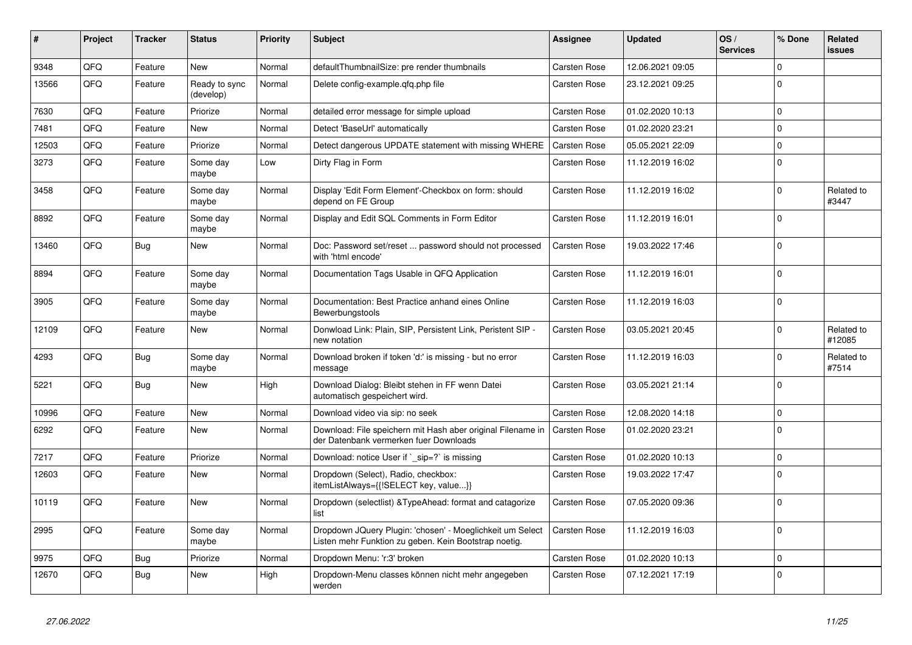| $\vert$ # | Project | <b>Tracker</b> | <b>Status</b>              | <b>Priority</b> | <b>Subject</b>                                                                                                     | Assignee            | <b>Updated</b>   | OS/<br><b>Services</b> | % Done      | Related<br>issues    |
|-----------|---------|----------------|----------------------------|-----------------|--------------------------------------------------------------------------------------------------------------------|---------------------|------------------|------------------------|-------------|----------------------|
| 9348      | QFQ     | Feature        | <b>New</b>                 | Normal          | defaultThumbnailSize: pre render thumbnails                                                                        | Carsten Rose        | 12.06.2021 09:05 |                        | $\Omega$    |                      |
| 13566     | QFQ     | Feature        | Ready to sync<br>(develop) | Normal          | Delete config-example.gfg.php file                                                                                 | Carsten Rose        | 23.12.2021 09:25 |                        | $\Omega$    |                      |
| 7630      | QFQ     | Feature        | Priorize                   | Normal          | detailed error message for simple upload                                                                           | Carsten Rose        | 01.02.2020 10:13 |                        | $\Omega$    |                      |
| 7481      | QFQ     | Feature        | <b>New</b>                 | Normal          | Detect 'BaseUrl' automatically                                                                                     | <b>Carsten Rose</b> | 01.02.2020 23:21 |                        | $\Omega$    |                      |
| 12503     | QFQ     | Feature        | Priorize                   | Normal          | Detect dangerous UPDATE statement with missing WHERE                                                               | <b>Carsten Rose</b> | 05.05.2021 22:09 |                        | $\mathbf 0$ |                      |
| 3273      | QFQ     | Feature        | Some day<br>maybe          | Low             | Dirty Flag in Form                                                                                                 | Carsten Rose        | 11.12.2019 16:02 |                        | 0           |                      |
| 3458      | QFQ     | Feature        | Some day<br>maybe          | Normal          | Display 'Edit Form Element'-Checkbox on form: should<br>depend on FE Group                                         | Carsten Rose        | 11.12.2019 16:02 |                        | $\Omega$    | Related to<br>#3447  |
| 8892      | QFQ     | Feature        | Some day<br>maybe          | Normal          | Display and Edit SQL Comments in Form Editor                                                                       | <b>Carsten Rose</b> | 11.12.2019 16:01 |                        | $\Omega$    |                      |
| 13460     | QFQ     | <b>Bug</b>     | <b>New</b>                 | Normal          | Doc: Password set/reset  password should not processed<br>with 'html encode'                                       | <b>Carsten Rose</b> | 19.03.2022 17:46 |                        | $\Omega$    |                      |
| 8894      | QFQ     | Feature        | Some day<br>maybe          | Normal          | Documentation Tags Usable in QFQ Application                                                                       | Carsten Rose        | 11.12.2019 16:01 |                        | $\Omega$    |                      |
| 3905      | QFQ     | Feature        | Some day<br>maybe          | Normal          | Documentation: Best Practice anhand eines Online<br>Bewerbungstools                                                | Carsten Rose        | 11.12.2019 16:03 |                        | $\Omega$    |                      |
| 12109     | QFQ     | Feature        | <b>New</b>                 | Normal          | Donwload Link: Plain, SIP, Persistent Link, Peristent SIP -<br>new notation                                        | Carsten Rose        | 03.05.2021 20:45 |                        | $\Omega$    | Related to<br>#12085 |
| 4293      | QFQ     | <b>Bug</b>     | Some day<br>maybe          | Normal          | Download broken if token 'd:' is missing - but no error<br>message                                                 | Carsten Rose        | 11.12.2019 16:03 |                        | $\Omega$    | Related to<br>#7514  |
| 5221      | QFQ     | Bug            | New                        | High            | Download Dialog: Bleibt stehen in FF wenn Datei<br>automatisch gespeichert wird.                                   | <b>Carsten Rose</b> | 03.05.2021 21:14 |                        | $\Omega$    |                      |
| 10996     | QFQ     | Feature        | <b>New</b>                 | Normal          | Download video via sip: no seek                                                                                    | Carsten Rose        | 12.08.2020 14:18 |                        | $\Omega$    |                      |
| 6292      | QFQ     | Feature        | New                        | Normal          | Download: File speichern mit Hash aber original Filename in<br>der Datenbank vermerken fuer Downloads              | Carsten Rose        | 01.02.2020 23:21 |                        | $\Omega$    |                      |
| 7217      | QFQ     | Feature        | Priorize                   | Normal          | Download: notice User if `_sip=?` is missing                                                                       | Carsten Rose        | 01.02.2020 10:13 |                        | $\Omega$    |                      |
| 12603     | QFQ     | Feature        | <b>New</b>                 | Normal          | Dropdown (Select), Radio, checkbox:<br>itemListAlways={{!SELECT key, value}}                                       | Carsten Rose        | 19.03.2022 17:47 |                        | $\Omega$    |                      |
| 10119     | QFQ     | Feature        | New                        | Normal          | Dropdown (selectlist) & Type Ahead: format and catagorize<br>list                                                  | <b>Carsten Rose</b> | 07.05.2020 09:36 |                        | $\Omega$    |                      |
| 2995      | QFQ     | Feature        | Some day<br>maybe          | Normal          | Dropdown JQuery Plugin: 'chosen' - Moeglichkeit um Select<br>Listen mehr Funktion zu geben. Kein Bootstrap noetig. | Carsten Rose        | 11.12.2019 16:03 |                        | $\Omega$    |                      |
| 9975      | QFQ     | Bug            | Priorize                   | Normal          | Dropdown Menu: 'r:3' broken                                                                                        | Carsten Rose        | 01.02.2020 10:13 |                        | $\Omega$    |                      |
| 12670     | QFQ     | <b>Bug</b>     | <b>New</b>                 | High            | Dropdown-Menu classes können nicht mehr angegeben<br>werden                                                        | Carsten Rose        | 07.12.2021 17:19 |                        | $\Omega$    |                      |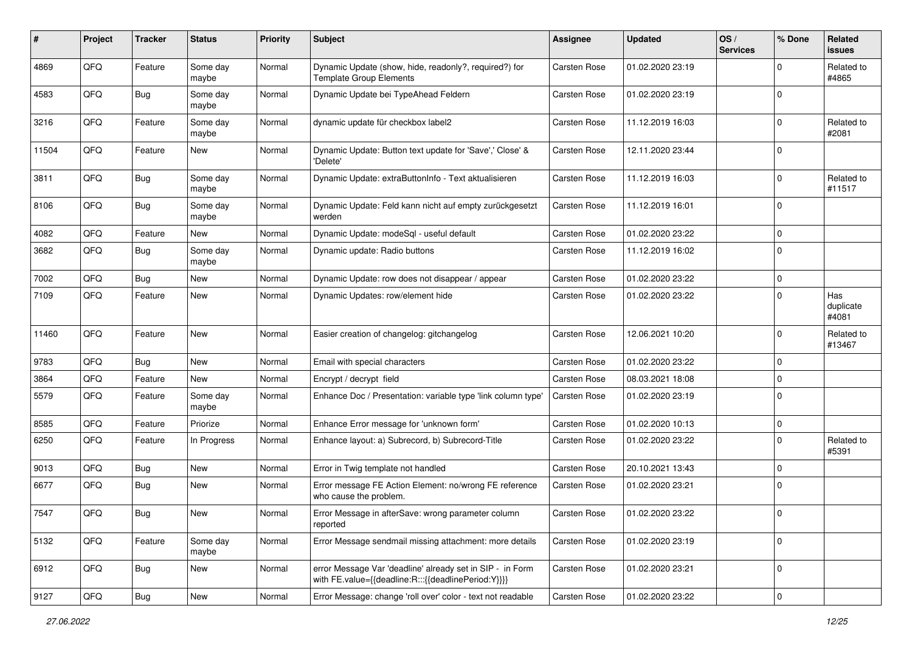| #     | Project | <b>Tracker</b> | <b>Status</b>     | <b>Priority</b> | <b>Subject</b>                                                                                                   | Assignee            | <b>Updated</b>   | OS/<br><b>Services</b> | % Done      | Related<br><b>issues</b>  |
|-------|---------|----------------|-------------------|-----------------|------------------------------------------------------------------------------------------------------------------|---------------------|------------------|------------------------|-------------|---------------------------|
| 4869  | QFQ     | Feature        | Some day<br>maybe | Normal          | Dynamic Update (show, hide, readonly?, required?) for<br><b>Template Group Elements</b>                          | <b>Carsten Rose</b> | 01.02.2020 23:19 |                        | 0           | Related to<br>#4865       |
| 4583  | QFQ     | Bug            | Some day<br>maybe | Normal          | Dynamic Update bei TypeAhead Feldern                                                                             | Carsten Rose        | 01.02.2020 23:19 |                        | $\Omega$    |                           |
| 3216  | QFQ     | Feature        | Some day<br>maybe | Normal          | dynamic update für checkbox label2                                                                               | Carsten Rose        | 11.12.2019 16:03 |                        | 0           | Related to<br>#2081       |
| 11504 | QFQ     | Feature        | New               | Normal          | Dynamic Update: Button text update for 'Save',' Close' &<br>'Delete'                                             | Carsten Rose        | 12.11.2020 23:44 |                        | $\Omega$    |                           |
| 3811  | QFQ     | <b>Bug</b>     | Some day<br>maybe | Normal          | Dynamic Update: extraButtonInfo - Text aktualisieren                                                             | Carsten Rose        | 11.12.2019 16:03 |                        | $\Omega$    | Related to<br>#11517      |
| 8106  | QFQ     | Bug            | Some day<br>maybe | Normal          | Dynamic Update: Feld kann nicht auf empty zurückgesetzt<br>werden                                                | Carsten Rose        | 11.12.2019 16:01 |                        | $\Omega$    |                           |
| 4082  | QFQ     | Feature        | New               | Normal          | Dynamic Update: modeSql - useful default                                                                         | Carsten Rose        | 01.02.2020 23:22 |                        | $\Omega$    |                           |
| 3682  | QFQ     | Bug            | Some day<br>maybe | Normal          | Dynamic update: Radio buttons                                                                                    | Carsten Rose        | 11.12.2019 16:02 |                        | $\Omega$    |                           |
| 7002  | QFQ     | <b>Bug</b>     | New               | Normal          | Dynamic Update: row does not disappear / appear                                                                  | Carsten Rose        | 01.02.2020 23:22 |                        | 0           |                           |
| 7109  | QFQ     | Feature        | New               | Normal          | Dynamic Updates: row/element hide                                                                                | <b>Carsten Rose</b> | 01.02.2020 23:22 |                        | $\Omega$    | Has<br>duplicate<br>#4081 |
| 11460 | QFQ     | Feature        | <b>New</b>        | Normal          | Easier creation of changelog: gitchangelog                                                                       | Carsten Rose        | 12.06.2021 10:20 |                        | $\Omega$    | Related to<br>#13467      |
| 9783  | QFQ     | Bug            | <b>New</b>        | Normal          | Email with special characters                                                                                    | Carsten Rose        | 01.02.2020 23:22 |                        | $\Omega$    |                           |
| 3864  | QFQ     | Feature        | New               | Normal          | Encrypt / decrypt field                                                                                          | <b>Carsten Rose</b> | 08.03.2021 18:08 |                        | $\Omega$    |                           |
| 5579  | QFQ     | Feature        | Some day<br>maybe | Normal          | Enhance Doc / Presentation: variable type 'link column type'                                                     | <b>Carsten Rose</b> | 01.02.2020 23:19 |                        | $\Omega$    |                           |
| 8585  | QFQ     | Feature        | Priorize          | Normal          | Enhance Error message for 'unknown form'                                                                         | Carsten Rose        | 01.02.2020 10:13 |                        | $\mathbf 0$ |                           |
| 6250  | QFQ     | Feature        | In Progress       | Normal          | Enhance layout: a) Subrecord, b) Subrecord-Title                                                                 | Carsten Rose        | 01.02.2020 23:22 |                        | $\Omega$    | Related to<br>#5391       |
| 9013  | QFQ     | Bug            | <b>New</b>        | Normal          | Error in Twig template not handled                                                                               | Carsten Rose        | 20.10.2021 13:43 |                        | $\Omega$    |                           |
| 6677  | QFQ     | Bug            | <b>New</b>        | Normal          | Error message FE Action Element: no/wrong FE reference<br>who cause the problem.                                 | <b>Carsten Rose</b> | 01.02.2020 23:21 |                        | $\mathbf 0$ |                           |
| 7547  | QFQ     | Bug            | <b>New</b>        | Normal          | Error Message in afterSave: wrong parameter column<br>reported                                                   | Carsten Rose        | 01.02.2020 23:22 |                        | 0           |                           |
| 5132  | QFQ     | Feature        | Some day<br>maybe | Normal          | Error Message sendmail missing attachment: more details                                                          | Carsten Rose        | 01.02.2020 23:19 |                        | $\mathbf 0$ |                           |
| 6912  | QFQ     | Bug            | New               | Normal          | error Message Var 'deadline' already set in SIP - in Form<br>with FE.value={{deadline:R:::{{deadlinePeriod:Y}}}} | Carsten Rose        | 01.02.2020 23:21 |                        | $\mathbf 0$ |                           |
| 9127  | QFQ     | <b>Bug</b>     | New               | Normal          | Error Message: change 'roll over' color - text not readable                                                      | Carsten Rose        | 01.02.2020 23:22 |                        | 0           |                           |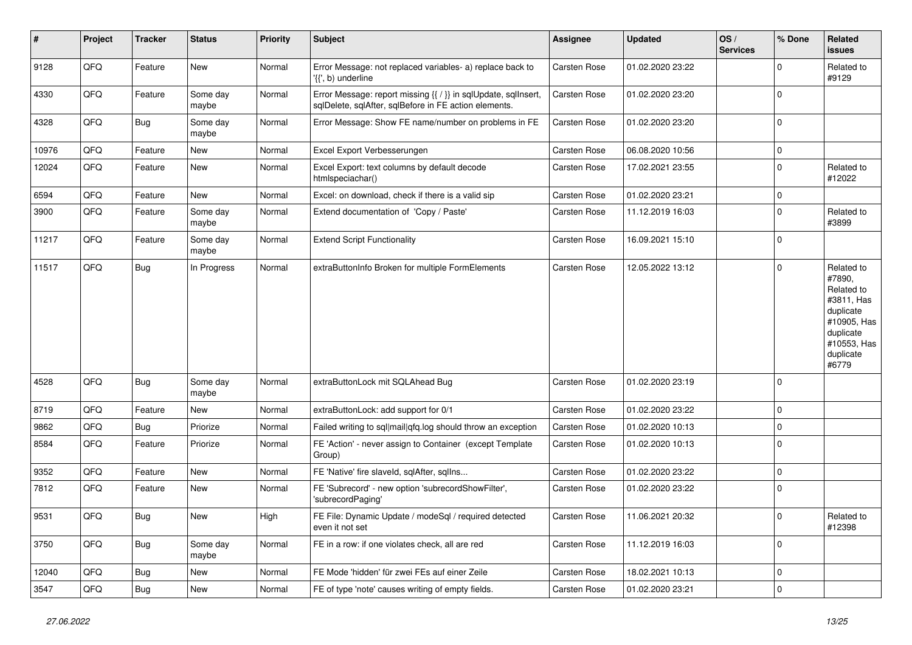| ∦     | Project | <b>Tracker</b> | <b>Status</b>     | <b>Priority</b> | <b>Subject</b>                                                                                                          | Assignee            | <b>Updated</b>   | OS/<br><b>Services</b> | % Done      | Related<br><b>issues</b>                                                                                                       |
|-------|---------|----------------|-------------------|-----------------|-------------------------------------------------------------------------------------------------------------------------|---------------------|------------------|------------------------|-------------|--------------------------------------------------------------------------------------------------------------------------------|
| 9128  | QFQ     | Feature        | <b>New</b>        | Normal          | Error Message: not replaced variables- a) replace back to<br>'{{', b) underline                                         | <b>Carsten Rose</b> | 01.02.2020 23:22 |                        | $\mathbf 0$ | Related to<br>#9129                                                                                                            |
| 4330  | QFQ     | Feature        | Some day<br>maybe | Normal          | Error Message: report missing {{ / }} in sqlUpdate, sqlInsert,<br>sqlDelete, sqlAfter, sqlBefore in FE action elements. | Carsten Rose        | 01.02.2020 23:20 |                        | $\mathbf 0$ |                                                                                                                                |
| 4328  | QFQ     | Bug            | Some day<br>maybe | Normal          | Error Message: Show FE name/number on problems in FE                                                                    | Carsten Rose        | 01.02.2020 23:20 |                        | $\Omega$    |                                                                                                                                |
| 10976 | QFQ     | Feature        | <b>New</b>        | Normal          | Excel Export Verbesserungen                                                                                             | Carsten Rose        | 06.08.2020 10:56 |                        | $\mathbf 0$ |                                                                                                                                |
| 12024 | QFQ     | Feature        | <b>New</b>        | Normal          | Excel Export: text columns by default decode<br>htmlspeciachar()                                                        | Carsten Rose        | 17.02.2021 23:55 |                        | $\Omega$    | Related to<br>#12022                                                                                                           |
| 6594  | QFQ     | Feature        | New               | Normal          | Excel: on download, check if there is a valid sip                                                                       | Carsten Rose        | 01.02.2020 23:21 |                        | $\mathbf 0$ |                                                                                                                                |
| 3900  | QFQ     | Feature        | Some day<br>maybe | Normal          | Extend documentation of 'Copy / Paste'                                                                                  | Carsten Rose        | 11.12.2019 16:03 |                        | $\mathbf 0$ | Related to<br>#3899                                                                                                            |
| 11217 | QFQ     | Feature        | Some day<br>maybe | Normal          | <b>Extend Script Functionality</b>                                                                                      | Carsten Rose        | 16.09.2021 15:10 |                        | $\mathbf 0$ |                                                                                                                                |
| 11517 | QFQ     | Bug            | In Progress       | Normal          | extraButtonInfo Broken for multiple FormElements                                                                        | <b>Carsten Rose</b> | 12.05.2022 13:12 |                        | $\mathbf 0$ | Related to<br>#7890,<br>Related to<br>#3811, Has<br>duplicate<br>#10905, Has<br>duplicate<br>#10553, Has<br>duplicate<br>#6779 |
| 4528  | QFQ     | Bug            | Some day<br>maybe | Normal          | extraButtonLock mit SQLAhead Bug                                                                                        | Carsten Rose        | 01.02.2020 23:19 |                        | $\mathbf 0$ |                                                                                                                                |
| 8719  | QFQ     | Feature        | <b>New</b>        | Normal          | extraButtonLock: add support for 0/1                                                                                    | Carsten Rose        | 01.02.2020 23:22 |                        | $\mathbf 0$ |                                                                                                                                |
| 9862  | QFQ     | Bug            | Priorize          | Normal          | Failed writing to sql mail qfq.log should throw an exception                                                            | <b>Carsten Rose</b> | 01.02.2020 10:13 |                        | $\mathbf 0$ |                                                                                                                                |
| 8584  | QFQ     | Feature        | Priorize          | Normal          | FE 'Action' - never assign to Container (except Template<br>Group)                                                      | Carsten Rose        | 01.02.2020 10:13 |                        | $\mathbf 0$ |                                                                                                                                |
| 9352  | QFQ     | Feature        | New               | Normal          | FE 'Native' fire slaveld, sqlAfter, sqllns                                                                              | Carsten Rose        | 01.02.2020 23:22 |                        | $\mathbf 0$ |                                                                                                                                |
| 7812  | QFQ     | Feature        | New               | Normal          | FE 'Subrecord' - new option 'subrecordShowFilter',<br>'subrecordPaging'                                                 | Carsten Rose        | 01.02.2020 23:22 |                        | $\Omega$    |                                                                                                                                |
| 9531  | QFQ     | Bug            | New               | High            | FE File: Dynamic Update / modeSql / required detected<br>even it not set                                                | Carsten Rose        | 11.06.2021 20:32 |                        | $\Omega$    | Related to<br>#12398                                                                                                           |
| 3750  | QFQ     | Bug            | Some day<br>maybe | Normal          | FE in a row: if one violates check, all are red                                                                         | <b>Carsten Rose</b> | 11.12.2019 16:03 |                        | $\mathbf 0$ |                                                                                                                                |
| 12040 | QFQ     | Bug            | <b>New</b>        | Normal          | FE Mode 'hidden' für zwei FEs auf einer Zeile                                                                           | Carsten Rose        | 18.02.2021 10:13 |                        | $\mathbf 0$ |                                                                                                                                |
| 3547  | QFQ     | Bug            | New               | Normal          | FE of type 'note' causes writing of empty fields.                                                                       | Carsten Rose        | 01.02.2020 23:21 |                        | $\mathbf 0$ |                                                                                                                                |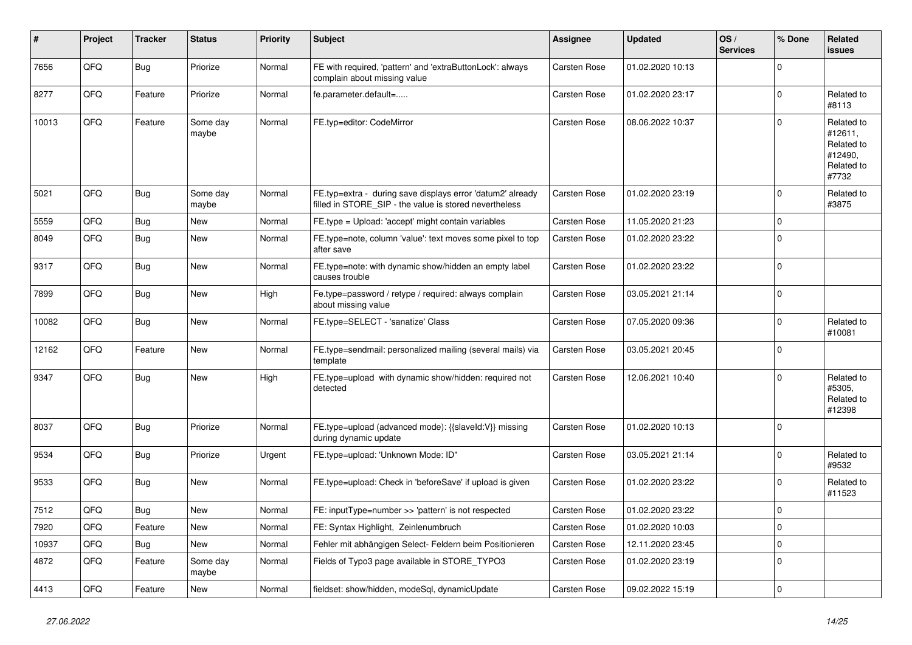| ∦     | Project | <b>Tracker</b> | <b>Status</b>     | <b>Priority</b> | <b>Subject</b>                                                                                                       | Assignee            | <b>Updated</b>   | OS/<br><b>Services</b> | % Done      | Related<br><b>issues</b>                                              |
|-------|---------|----------------|-------------------|-----------------|----------------------------------------------------------------------------------------------------------------------|---------------------|------------------|------------------------|-------------|-----------------------------------------------------------------------|
| 7656  | QFQ     | Bug            | Priorize          | Normal          | FE with required, 'pattern' and 'extraButtonLock': always<br>complain about missing value                            | Carsten Rose        | 01.02.2020 10:13 |                        | $\Omega$    |                                                                       |
| 8277  | QFQ     | Feature        | Priorize          | Normal          | fe.parameter.default=                                                                                                | Carsten Rose        | 01.02.2020 23:17 |                        | $\Omega$    | Related to<br>#8113                                                   |
| 10013 | QFQ     | Feature        | Some day<br>maybe | Normal          | FE.typ=editor: CodeMirror                                                                                            | <b>Carsten Rose</b> | 08.06.2022 10:37 |                        | $\Omega$    | Related to<br>#12611,<br>Related to<br>#12490,<br>Related to<br>#7732 |
| 5021  | QFQ     | Bug            | Some day<br>maybe | Normal          | FE.typ=extra - during save displays error 'datum2' already<br>filled in STORE_SIP - the value is stored nevertheless | Carsten Rose        | 01.02.2020 23:19 |                        | $\Omega$    | Related to<br>#3875                                                   |
| 5559  | QFQ     | Bug            | <b>New</b>        | Normal          | FE.type = Upload: 'accept' might contain variables                                                                   | Carsten Rose        | 11.05.2020 21:23 |                        | $\mathbf 0$ |                                                                       |
| 8049  | QFQ     | Bug            | New               | Normal          | FE.type=note, column 'value': text moves some pixel to top<br>after save                                             | Carsten Rose        | 01.02.2020 23:22 |                        | $\mathbf 0$ |                                                                       |
| 9317  | QFQ     | Bug            | <b>New</b>        | Normal          | FE.type=note: with dynamic show/hidden an empty label<br>causes trouble                                              | <b>Carsten Rose</b> | 01.02.2020 23:22 |                        | $\Omega$    |                                                                       |
| 7899  | QFQ     | Bug            | <b>New</b>        | High            | Fe.type=password / retype / required: always complain<br>about missing value                                         | Carsten Rose        | 03.05.2021 21:14 |                        | $\Omega$    |                                                                       |
| 10082 | QFQ     | Bug            | <b>New</b>        | Normal          | FE.type=SELECT - 'sanatize' Class                                                                                    | Carsten Rose        | 07.05.2020 09:36 |                        | $\Omega$    | Related to<br>#10081                                                  |
| 12162 | QFQ     | Feature        | New               | Normal          | FE.type=sendmail: personalized mailing (several mails) via<br>template                                               | Carsten Rose        | 03.05.2021 20:45 |                        | $\Omega$    |                                                                       |
| 9347  | QFQ     | Bug            | <b>New</b>        | High            | FE.type=upload with dynamic show/hidden: required not<br>detected                                                    | Carsten Rose        | 12.06.2021 10:40 |                        | $\Omega$    | Related to<br>#5305,<br>Related to<br>#12398                          |
| 8037  | QFQ     | Bug            | Priorize          | Normal          | FE.type=upload (advanced mode): {{slaveld:V}} missing<br>during dynamic update                                       | Carsten Rose        | 01.02.2020 10:13 |                        | $\Omega$    |                                                                       |
| 9534  | QFQ     | Bug            | Priorize          | Urgent          | FE.type=upload: 'Unknown Mode: ID"                                                                                   | Carsten Rose        | 03.05.2021 21:14 |                        | $\Omega$    | Related to<br>#9532                                                   |
| 9533  | QFQ     | Bug            | New               | Normal          | FE.type=upload: Check in 'beforeSave' if upload is given                                                             | Carsten Rose        | 01.02.2020 23:22 |                        | $\mathbf 0$ | Related to<br>#11523                                                  |
| 7512  | QFQ     | Bug            | <b>New</b>        | Normal          | FE: inputType=number >> 'pattern' is not respected                                                                   | Carsten Rose        | 01.02.2020 23:22 |                        | $\Omega$    |                                                                       |
| 7920  | QFQ     | Feature        | <b>New</b>        | Normal          | FE: Syntax Highlight, Zeinlenumbruch                                                                                 | <b>Carsten Rose</b> | 01.02.2020 10:03 |                        | $\Omega$    |                                                                       |
| 10937 | QFQ     | <b>Bug</b>     | <b>New</b>        | Normal          | Fehler mit abhängigen Select- Feldern beim Positionieren                                                             | Carsten Rose        | 12.11.2020 23:45 |                        | $\Omega$    |                                                                       |
| 4872  | QFQ     | Feature        | Some day<br>maybe | Normal          | Fields of Typo3 page available in STORE_TYPO3                                                                        | Carsten Rose        | 01.02.2020 23:19 |                        | $\Omega$    |                                                                       |
| 4413  | QFQ     | Feature        | <b>New</b>        | Normal          | fieldset: show/hidden, modeSql, dynamicUpdate                                                                        | Carsten Rose        | 09.02.2022 15:19 |                        | $\mathbf 0$ |                                                                       |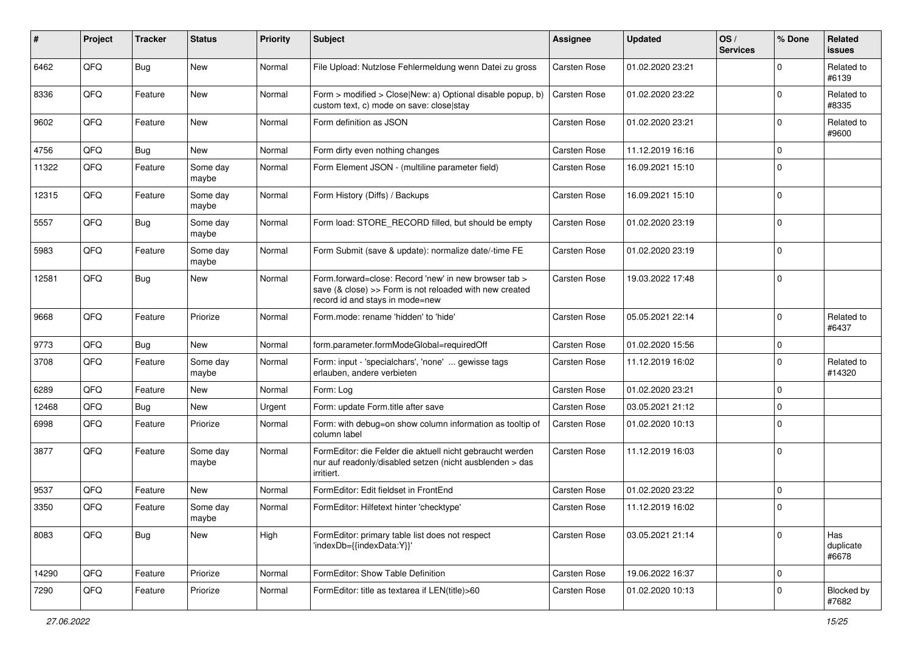| #     | Project | <b>Tracker</b> | <b>Status</b>     | <b>Priority</b> | <b>Subject</b>                                                                                                                                      | <b>Assignee</b>     | <b>Updated</b>   | OS/<br><b>Services</b> | % Done      | Related<br>issues         |
|-------|---------|----------------|-------------------|-----------------|-----------------------------------------------------------------------------------------------------------------------------------------------------|---------------------|------------------|------------------------|-------------|---------------------------|
| 6462  | QFQ     | <b>Bug</b>     | New               | Normal          | File Upload: Nutzlose Fehlermeldung wenn Datei zu gross                                                                                             | Carsten Rose        | 01.02.2020 23:21 |                        | $\Omega$    | Related to<br>#6139       |
| 8336  | QFQ     | Feature        | New               | Normal          | Form > modified > Close New: a) Optional disable popup, b)<br>custom text, c) mode on save: close stay                                              | Carsten Rose        | 01.02.2020 23:22 |                        | $\mathbf 0$ | Related to<br>#8335       |
| 9602  | QFQ     | Feature        | <b>New</b>        | Normal          | Form definition as JSON                                                                                                                             | Carsten Rose        | 01.02.2020 23:21 |                        | $\Omega$    | Related to<br>#9600       |
| 4756  | QFQ     | Bug            | New               | Normal          | Form dirty even nothing changes                                                                                                                     | Carsten Rose        | 11.12.2019 16:16 |                        | $\mathbf 0$ |                           |
| 11322 | QFQ     | Feature        | Some day<br>maybe | Normal          | Form Element JSON - (multiline parameter field)                                                                                                     | Carsten Rose        | 16.09.2021 15:10 |                        | $\Omega$    |                           |
| 12315 | QFQ     | Feature        | Some day<br>maybe | Normal          | Form History (Diffs) / Backups                                                                                                                      | Carsten Rose        | 16.09.2021 15:10 |                        | $\mathbf 0$ |                           |
| 5557  | QFQ     | Bug            | Some day<br>maybe | Normal          | Form load: STORE_RECORD filled, but should be empty                                                                                                 | Carsten Rose        | 01.02.2020 23:19 |                        | 0           |                           |
| 5983  | QFQ     | Feature        | Some day<br>maybe | Normal          | Form Submit (save & update): normalize date/-time FE                                                                                                | Carsten Rose        | 01.02.2020 23:19 |                        | 0           |                           |
| 12581 | QFQ     | Bug            | New               | Normal          | Form.forward=close: Record 'new' in new browser tab ><br>save (& close) >> Form is not reloaded with new created<br>record id and stays in mode=new | Carsten Rose        | 19.03.2022 17:48 |                        | $\mathbf 0$ |                           |
| 9668  | QFQ     | Feature        | Priorize          | Normal          | Form.mode: rename 'hidden' to 'hide'                                                                                                                | Carsten Rose        | 05.05.2021 22:14 |                        | $\Omega$    | Related to<br>#6437       |
| 9773  | QFQ     | Bug            | <b>New</b>        | Normal          | form.parameter.formModeGlobal=requiredOff                                                                                                           | Carsten Rose        | 01.02.2020 15:56 |                        | 0           |                           |
| 3708  | QFQ     | Feature        | Some day<br>maybe | Normal          | Form: input - 'specialchars', 'none'  gewisse tags<br>erlauben, andere verbieten                                                                    | Carsten Rose        | 11.12.2019 16:02 |                        | $\mathbf 0$ | Related to<br>#14320      |
| 6289  | QFQ     | Feature        | <b>New</b>        | Normal          | Form: Log                                                                                                                                           | Carsten Rose        | 01.02.2020 23:21 |                        | $\mathbf 0$ |                           |
| 12468 | QFQ     | Bug            | New               | Urgent          | Form: update Form.title after save                                                                                                                  | Carsten Rose        | 03.05.2021 21:12 |                        | $\mathbf 0$ |                           |
| 6998  | QFQ     | Feature        | Priorize          | Normal          | Form: with debug=on show column information as tooltip of<br>column label                                                                           | Carsten Rose        | 01.02.2020 10:13 |                        | $\Omega$    |                           |
| 3877  | QFQ     | Feature        | Some day<br>maybe | Normal          | FormEditor: die Felder die aktuell nicht gebraucht werden<br>nur auf readonly/disabled setzen (nicht ausblenden > das<br>irritiert.                 | Carsten Rose        | 11.12.2019 16:03 |                        | 0           |                           |
| 9537  | QFQ     | Feature        | <b>New</b>        | Normal          | FormEditor: Edit fieldset in FrontEnd                                                                                                               | Carsten Rose        | 01.02.2020 23:22 |                        | $\mathbf 0$ |                           |
| 3350  | QFQ     | Feature        | Some day<br>maybe | Normal          | FormEditor: Hilfetext hinter 'checktype'                                                                                                            | <b>Carsten Rose</b> | 11.12.2019 16:02 |                        | 0           |                           |
| 8083  | QFG     | <b>Bug</b>     | New               | High            | FormEditor: primary table list does not respect<br>'indexDb={{indexData:Y}}'                                                                        | Carsten Rose        | 03.05.2021 21:14 |                        | $\mathbf 0$ | Has<br>duplicate<br>#6678 |
| 14290 | QFQ     | Feature        | Priorize          | Normal          | FormEditor: Show Table Definition                                                                                                                   | Carsten Rose        | 19.06.2022 16:37 |                        | 0           |                           |
| 7290  | QFQ     | Feature        | Priorize          | Normal          | FormEditor: title as textarea if LEN(title)>60                                                                                                      | Carsten Rose        | 01.02.2020 10:13 |                        | $\mathbf 0$ | Blocked by<br>#7682       |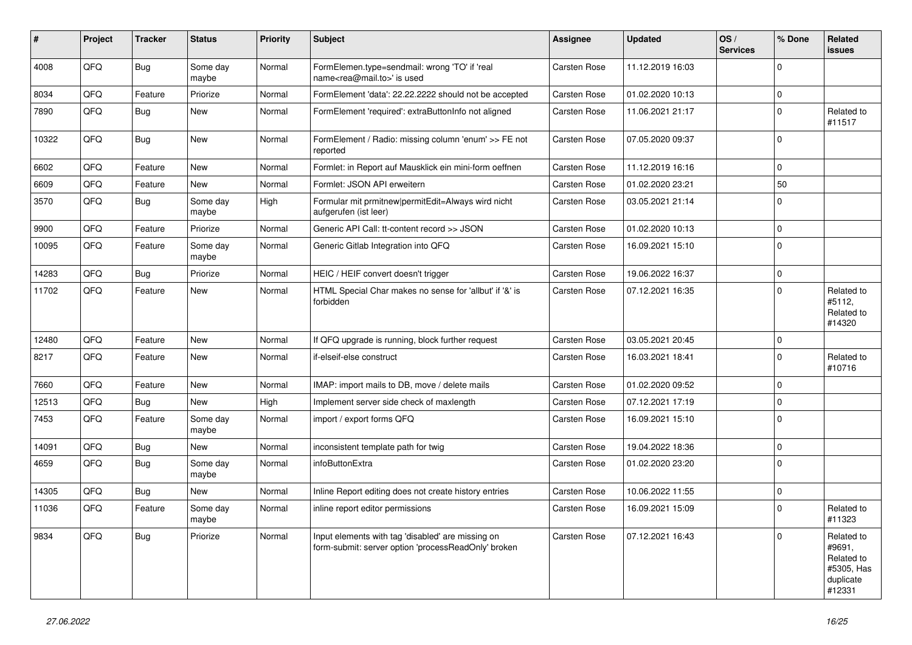| ∦     | Project | <b>Tracker</b> | <b>Status</b>     | <b>Priority</b> | Subject                                                                                                  | <b>Assignee</b>     | <b>Updated</b>   | OS/<br><b>Services</b> | % Done      | Related<br>issues                                                       |
|-------|---------|----------------|-------------------|-----------------|----------------------------------------------------------------------------------------------------------|---------------------|------------------|------------------------|-------------|-------------------------------------------------------------------------|
| 4008  | QFQ     | Bug            | Some day<br>maybe | Normal          | FormElemen.type=sendmail: wrong 'TO' if 'real<br>name <rea@mail.to>' is used</rea@mail.to>               | <b>Carsten Rose</b> | 11.12.2019 16:03 |                        | $\Omega$    |                                                                         |
| 8034  | QFQ     | Feature        | Priorize          | Normal          | FormElement 'data': 22.22.2222 should not be accepted                                                    | Carsten Rose        | 01.02.2020 10:13 |                        | $\mathbf 0$ |                                                                         |
| 7890  | QFQ     | Bug            | New               | Normal          | FormElement 'required': extraButtonInfo not aligned                                                      | Carsten Rose        | 11.06.2021 21:17 |                        | $\Omega$    | Related to<br>#11517                                                    |
| 10322 | QFQ     | Bug            | <b>New</b>        | Normal          | FormElement / Radio: missing column 'enum' >> FE not<br>reported                                         | Carsten Rose        | 07.05.2020 09:37 |                        | 0           |                                                                         |
| 6602  | QFQ     | Feature        | <b>New</b>        | Normal          | Formlet: in Report auf Mausklick ein mini-form oeffnen                                                   | Carsten Rose        | 11.12.2019 16:16 |                        | $\Omega$    |                                                                         |
| 6609  | QFQ     | Feature        | New               | Normal          | Formlet: JSON API erweitern                                                                              | Carsten Rose        | 01.02.2020 23:21 |                        | 50          |                                                                         |
| 3570  | QFQ     | Bug            | Some day<br>maybe | High            | Formular mit prmitnew permitEdit=Always wird nicht<br>aufgerufen (ist leer)                              | Carsten Rose        | 03.05.2021 21:14 |                        | $\Omega$    |                                                                         |
| 9900  | QFQ     | Feature        | Priorize          | Normal          | Generic API Call: tt-content record >> JSON                                                              | <b>Carsten Rose</b> | 01.02.2020 10:13 |                        | $\mathbf 0$ |                                                                         |
| 10095 | QFQ     | Feature        | Some day<br>maybe | Normal          | Generic Gitlab Integration into QFQ                                                                      | Carsten Rose        | 16.09.2021 15:10 |                        | $\Omega$    |                                                                         |
| 14283 | QFQ     | <b>Bug</b>     | Priorize          | Normal          | HEIC / HEIF convert doesn't trigger                                                                      | Carsten Rose        | 19.06.2022 16:37 |                        | $\mathbf 0$ |                                                                         |
| 11702 | QFQ     | Feature        | <b>New</b>        | Normal          | HTML Special Char makes no sense for 'allbut' if '&' is<br>forbidden                                     | <b>Carsten Rose</b> | 07.12.2021 16:35 |                        | $\Omega$    | Related to<br>#5112,<br>Related to<br>#14320                            |
| 12480 | QFQ     | Feature        | <b>New</b>        | Normal          | If QFQ upgrade is running, block further request                                                         | Carsten Rose        | 03.05.2021 20:45 |                        | $\Omega$    |                                                                         |
| 8217  | QFQ     | Feature        | <b>New</b>        | Normal          | if-elseif-else construct                                                                                 | Carsten Rose        | 16.03.2021 18:41 |                        | $\Omega$    | Related to<br>#10716                                                    |
| 7660  | QFQ     | Feature        | <b>New</b>        | Normal          | IMAP: import mails to DB, move / delete mails                                                            | <b>Carsten Rose</b> | 01.02.2020 09:52 |                        | $\mathbf 0$ |                                                                         |
| 12513 | QFQ     | Bug            | <b>New</b>        | High            | Implement server side check of maxlength                                                                 | <b>Carsten Rose</b> | 07.12.2021 17:19 |                        | $\Omega$    |                                                                         |
| 7453  | QFQ     | Feature        | Some day<br>maybe | Normal          | import / export forms QFQ                                                                                | Carsten Rose        | 16.09.2021 15:10 |                        | 0           |                                                                         |
| 14091 | QFQ     | Bug            | <b>New</b>        | Normal          | inconsistent template path for twig                                                                      | Carsten Rose        | 19.04.2022 18:36 |                        | $\mathbf 0$ |                                                                         |
| 4659  | QFQ     | Bug            | Some day<br>maybe | Normal          | infoButtonExtra                                                                                          | Carsten Rose        | 01.02.2020 23:20 |                        | $\Omega$    |                                                                         |
| 14305 | QFQ     | Bug            | <b>New</b>        | Normal          | Inline Report editing does not create history entries                                                    | <b>Carsten Rose</b> | 10.06.2022 11:55 |                        | $\mathbf 0$ |                                                                         |
| 11036 | QFQ     | Feature        | Some day<br>maybe | Normal          | inline report editor permissions                                                                         | <b>Carsten Rose</b> | 16.09.2021 15:09 |                        | $\mathbf 0$ | Related to<br>#11323                                                    |
| 9834  | QFQ     | Bug            | Priorize          | Normal          | Input elements with tag 'disabled' are missing on<br>form-submit: server option 'processReadOnly' broken | Carsten Rose        | 07.12.2021 16:43 |                        | $\Omega$    | Related to<br>#9691,<br>Related to<br>#5305, Has<br>duplicate<br>#12331 |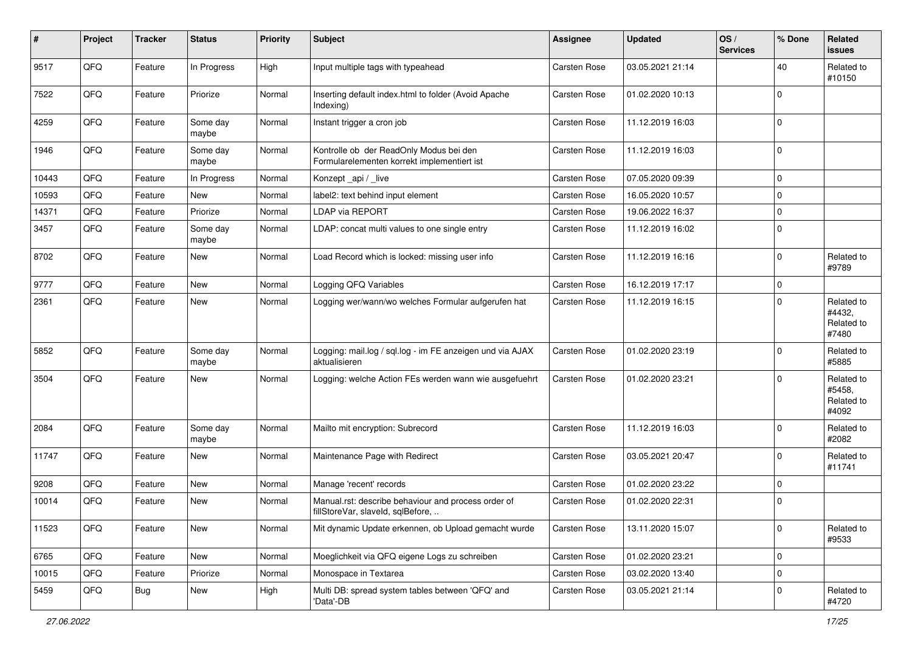| #     | Project | <b>Tracker</b> | <b>Status</b>     | <b>Priority</b> | <b>Subject</b>                                                                           | <b>Assignee</b>     | <b>Updated</b>   | OS/<br><b>Services</b> | % Done      | Related<br><b>issues</b>                    |
|-------|---------|----------------|-------------------|-----------------|------------------------------------------------------------------------------------------|---------------------|------------------|------------------------|-------------|---------------------------------------------|
| 9517  | QFQ     | Feature        | In Progress       | High            | Input multiple tags with typeahead                                                       | Carsten Rose        | 03.05.2021 21:14 |                        | 40          | Related to<br>#10150                        |
| 7522  | QFQ     | Feature        | Priorize          | Normal          | Inserting default index.html to folder (Avoid Apache<br>Indexing)                        | Carsten Rose        | 01.02.2020 10:13 |                        | $\mathbf 0$ |                                             |
| 4259  | QFQ     | Feature        | Some day<br>maybe | Normal          | Instant trigger a cron job                                                               | Carsten Rose        | 11.12.2019 16:03 |                        | 0           |                                             |
| 1946  | QFQ     | Feature        | Some day<br>maybe | Normal          | Kontrolle ob der ReadOnly Modus bei den<br>Formularelementen korrekt implementiert ist   | Carsten Rose        | 11.12.2019 16:03 |                        | $\mathbf 0$ |                                             |
| 10443 | QFQ     | Feature        | In Progress       | Normal          | Konzept _api / _live                                                                     | Carsten Rose        | 07.05.2020 09:39 |                        | $\mathbf 0$ |                                             |
| 10593 | QFQ     | Feature        | New               | Normal          | label2: text behind input element                                                        | Carsten Rose        | 16.05.2020 10:57 |                        | 0           |                                             |
| 14371 | QFQ     | Feature        | Priorize          | Normal          | <b>LDAP via REPORT</b>                                                                   | Carsten Rose        | 19.06.2022 16:37 |                        | $\mathbf 0$ |                                             |
| 3457  | QFQ     | Feature        | Some day<br>maybe | Normal          | LDAP: concat multi values to one single entry                                            | Carsten Rose        | 11.12.2019 16:02 |                        | $\Omega$    |                                             |
| 8702  | QFQ     | Feature        | <b>New</b>        | Normal          | Load Record which is locked: missing user info                                           | <b>Carsten Rose</b> | 11.12.2019 16:16 |                        | $\mathbf 0$ | Related to<br>#9789                         |
| 9777  | QFQ     | Feature        | New               | Normal          | Logging QFQ Variables                                                                    | Carsten Rose        | 16.12.2019 17:17 |                        | $\mathbf 0$ |                                             |
| 2361  | QFQ     | Feature        | <b>New</b>        | Normal          | Logging wer/wann/wo welches Formular aufgerufen hat                                      | Carsten Rose        | 11.12.2019 16:15 |                        | $\Omega$    | Related to<br>#4432,<br>Related to<br>#7480 |
| 5852  | QFQ     | Feature        | Some day<br>maybe | Normal          | Logging: mail.log / sql.log - im FE anzeigen und via AJAX<br>aktualisieren               | Carsten Rose        | 01.02.2020 23:19 |                        | 0           | Related to<br>#5885                         |
| 3504  | QFQ     | Feature        | <b>New</b>        | Normal          | Logging: welche Action FEs werden wann wie ausgefuehrt                                   | Carsten Rose        | 01.02.2020 23:21 |                        | $\mathbf 0$ | Related to<br>#5458,<br>Related to<br>#4092 |
| 2084  | QFQ     | Feature        | Some day<br>maybe | Normal          | Mailto mit encryption: Subrecord                                                         | <b>Carsten Rose</b> | 11.12.2019 16:03 |                        | $\Omega$    | Related to<br>#2082                         |
| 11747 | QFQ     | Feature        | <b>New</b>        | Normal          | Maintenance Page with Redirect                                                           | Carsten Rose        | 03.05.2021 20:47 |                        | $\mathbf 0$ | Related to<br>#11741                        |
| 9208  | QFQ     | Feature        | <b>New</b>        | Normal          | Manage 'recent' records                                                                  | Carsten Rose        | 01.02.2020 23:22 |                        | 0           |                                             |
| 10014 | QFQ     | Feature        | <b>New</b>        | Normal          | Manual.rst: describe behaviour and process order of<br>fillStoreVar, slaveId, sqlBefore, | Carsten Rose        | 01.02.2020 22:31 |                        | 0           |                                             |
| 11523 | QFQ     | Feature        | New               | Normal          | Mit dynamic Update erkennen, ob Upload gemacht wurde                                     | Carsten Rose        | 13.11.2020 15:07 |                        | $\mathbf 0$ | Related to<br>#9533                         |
| 6765  | QFQ     | Feature        | New               | Normal          | Moeglichkeit via QFQ eigene Logs zu schreiben                                            | Carsten Rose        | 01.02.2020 23:21 |                        | $\mathbf 0$ |                                             |
| 10015 | QFQ     | Feature        | Priorize          | Normal          | Monospace in Textarea                                                                    | Carsten Rose        | 03.02.2020 13:40 |                        | $\mathbf 0$ |                                             |
| 5459  | QFQ     | Bug            | New               | High            | Multi DB: spread system tables between 'QFQ' and<br>'Data'-DB                            | Carsten Rose        | 03.05.2021 21:14 |                        | 0           | Related to<br>#4720                         |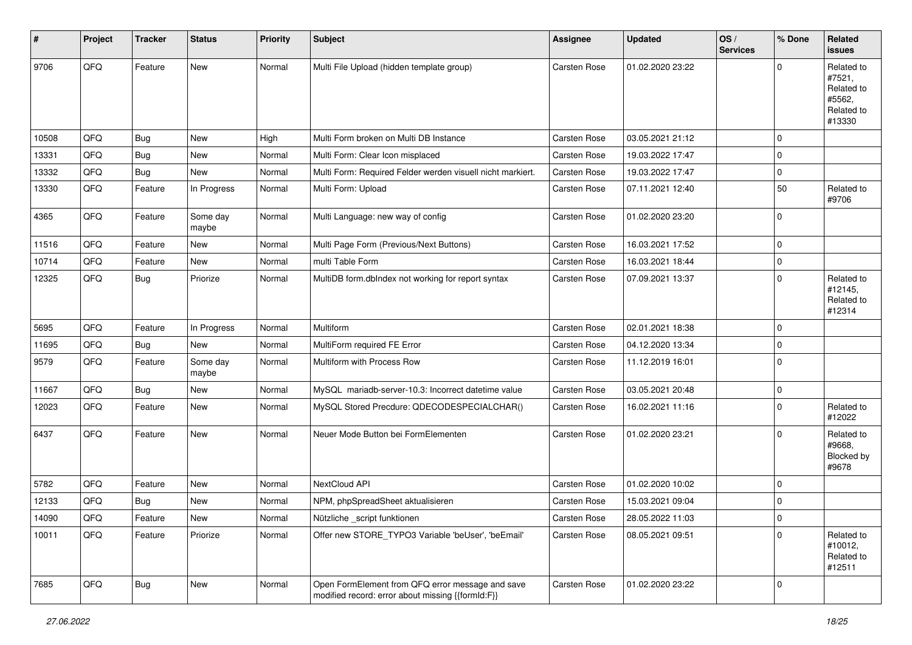| #     | Project | <b>Tracker</b> | <b>Status</b>     | <b>Priority</b> | <b>Subject</b>                                                                                        | Assignee            | <b>Updated</b>   | OS/<br><b>Services</b> | % Done      | Related<br><b>issues</b>                                             |
|-------|---------|----------------|-------------------|-----------------|-------------------------------------------------------------------------------------------------------|---------------------|------------------|------------------------|-------------|----------------------------------------------------------------------|
| 9706  | QFQ     | Feature        | New               | Normal          | Multi File Upload (hidden template group)                                                             | Carsten Rose        | 01.02.2020 23:22 |                        | $\mathbf 0$ | Related to<br>#7521,<br>Related to<br>#5562,<br>Related to<br>#13330 |
| 10508 | QFQ     | Bug            | <b>New</b>        | High            | Multi Form broken on Multi DB Instance                                                                | Carsten Rose        | 03.05.2021 21:12 |                        | $\mathbf 0$ |                                                                      |
| 13331 | QFQ     | <b>Bug</b>     | <b>New</b>        | Normal          | Multi Form: Clear Icon misplaced                                                                      | <b>Carsten Rose</b> | 19.03.2022 17:47 |                        | $\mathbf 0$ |                                                                      |
| 13332 | QFQ     | Bug            | <b>New</b>        | Normal          | Multi Form: Required Felder werden visuell nicht markiert.                                            | Carsten Rose        | 19.03.2022 17:47 |                        | $\mathbf 0$ |                                                                      |
| 13330 | QFQ     | Feature        | In Progress       | Normal          | Multi Form: Upload                                                                                    | Carsten Rose        | 07.11.2021 12:40 |                        | 50          | Related to<br>#9706                                                  |
| 4365  | QFQ     | Feature        | Some day<br>maybe | Normal          | Multi Language: new way of config                                                                     | <b>Carsten Rose</b> | 01.02.2020 23:20 |                        | $\mathbf 0$ |                                                                      |
| 11516 | QFQ     | Feature        | <b>New</b>        | Normal          | Multi Page Form (Previous/Next Buttons)                                                               | Carsten Rose        | 16.03.2021 17:52 |                        | $\mathbf 0$ |                                                                      |
| 10714 | QFQ     | Feature        | New               | Normal          | multi Table Form                                                                                      | Carsten Rose        | 16.03.2021 18:44 |                        | $\pmb{0}$   |                                                                      |
| 12325 | QFQ     | <b>Bug</b>     | Priorize          | Normal          | MultiDB form.dblndex not working for report syntax                                                    | Carsten Rose        | 07.09.2021 13:37 |                        | $\mathbf 0$ | Related to<br>#12145,<br>Related to<br>#12314                        |
| 5695  | QFQ     | Feature        | In Progress       | Normal          | <b>Multiform</b>                                                                                      | Carsten Rose        | 02.01.2021 18:38 |                        | $\mathbf 0$ |                                                                      |
| 11695 | QFQ     | Bug            | <b>New</b>        | Normal          | MultiForm required FE Error                                                                           | Carsten Rose        | 04.12.2020 13:34 |                        | $\mathbf 0$ |                                                                      |
| 9579  | QFQ     | Feature        | Some day<br>maybe | Normal          | Multiform with Process Row                                                                            | Carsten Rose        | 11.12.2019 16:01 |                        | $\mathbf 0$ |                                                                      |
| 11667 | QFQ     | Bug            | <b>New</b>        | Normal          | MySQL mariadb-server-10.3: Incorrect datetime value                                                   | <b>Carsten Rose</b> | 03.05.2021 20:48 |                        | $\mathbf 0$ |                                                                      |
| 12023 | QFQ     | Feature        | <b>New</b>        | Normal          | MySQL Stored Precdure: QDECODESPECIALCHAR()                                                           | Carsten Rose        | 16.02.2021 11:16 |                        | $\mathbf 0$ | Related to<br>#12022                                                 |
| 6437  | QFQ     | Feature        | <b>New</b>        | Normal          | Neuer Mode Button bei FormElementen                                                                   | Carsten Rose        | 01.02.2020 23:21 |                        | $\Omega$    | Related to<br>#9668,<br>Blocked by<br>#9678                          |
| 5782  | QFQ     | Feature        | New               | Normal          | NextCloud API                                                                                         | Carsten Rose        | 01.02.2020 10:02 |                        | $\mathbf 0$ |                                                                      |
| 12133 | QFQ     | <b>Bug</b>     | <b>New</b>        | Normal          | NPM, phpSpreadSheet aktualisieren                                                                     | Carsten Rose        | 15.03.2021 09:04 |                        | $\mathbf 0$ |                                                                      |
| 14090 | QFG     | Feature        | New               | Normal          | Nützliche _script funktionen                                                                          | Carsten Rose        | 28.05.2022 11:03 |                        | O           |                                                                      |
| 10011 | QFQ     | Feature        | Priorize          | Normal          | Offer new STORE_TYPO3 Variable 'beUser', 'beEmail'                                                    | Carsten Rose        | 08.05.2021 09:51 |                        | $\mathbf 0$ | Related to<br>#10012,<br>Related to<br>#12511                        |
| 7685  | QFQ     | Bug            | New               | Normal          | Open FormElement from QFQ error message and save<br>modified record: error about missing {{formId:F}} | Carsten Rose        | 01.02.2020 23:22 |                        | $\mathbf 0$ |                                                                      |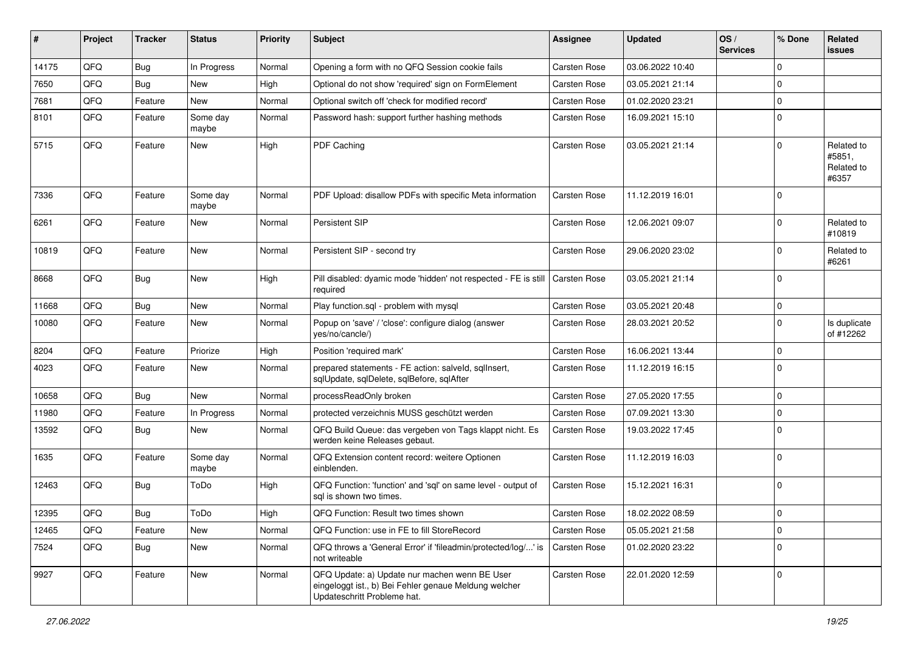| ∦     | Project | <b>Tracker</b> | <b>Status</b>     | <b>Priority</b> | Subject                                                                                                                               | <b>Assignee</b>     | <b>Updated</b>   | OS/<br><b>Services</b> | % Done      | Related<br>issues                           |
|-------|---------|----------------|-------------------|-----------------|---------------------------------------------------------------------------------------------------------------------------------------|---------------------|------------------|------------------------|-------------|---------------------------------------------|
| 14175 | QFQ     | Bug            | In Progress       | Normal          | Opening a form with no QFQ Session cookie fails                                                                                       | Carsten Rose        | 03.06.2022 10:40 |                        | $\Omega$    |                                             |
| 7650  | QFQ     | Bug            | <b>New</b>        | High            | Optional do not show 'required' sign on FormElement                                                                                   | Carsten Rose        | 03.05.2021 21:14 |                        | $\mathbf 0$ |                                             |
| 7681  | QFQ     | Feature        | <b>New</b>        | Normal          | Optional switch off 'check for modified record'                                                                                       | Carsten Rose        | 01.02.2020 23:21 |                        | $\mathbf 0$ |                                             |
| 8101  | QFQ     | Feature        | Some day<br>maybe | Normal          | Password hash: support further hashing methods                                                                                        | <b>Carsten Rose</b> | 16.09.2021 15:10 |                        | $\mathbf 0$ |                                             |
| 5715  | QFQ     | Feature        | New               | High            | PDF Caching                                                                                                                           | Carsten Rose        | 03.05.2021 21:14 |                        | $\Omega$    | Related to<br>#5851,<br>Related to<br>#6357 |
| 7336  | QFQ     | Feature        | Some day<br>maybe | Normal          | PDF Upload: disallow PDFs with specific Meta information                                                                              | <b>Carsten Rose</b> | 11.12.2019 16:01 |                        | $\mathbf 0$ |                                             |
| 6261  | QFQ     | Feature        | <b>New</b>        | Normal          | <b>Persistent SIP</b>                                                                                                                 | Carsten Rose        | 12.06.2021 09:07 |                        | $\mathbf 0$ | Related to<br>#10819                        |
| 10819 | QFQ     | Feature        | New               | Normal          | Persistent SIP - second try                                                                                                           | <b>Carsten Rose</b> | 29.06.2020 23:02 |                        | $\mathbf 0$ | Related to<br>#6261                         |
| 8668  | QFQ     | Bug            | New               | High            | Pill disabled: dyamic mode 'hidden' not respected - FE is still<br>required                                                           | Carsten Rose        | 03.05.2021 21:14 |                        | $\Omega$    |                                             |
| 11668 | QFQ     | Bug            | New               | Normal          | Play function.sql - problem with mysql                                                                                                | <b>Carsten Rose</b> | 03.05.2021 20:48 |                        | $\mathbf 0$ |                                             |
| 10080 | QFQ     | Feature        | New               | Normal          | Popup on 'save' / 'close': configure dialog (answer<br>yes/no/cancle/)                                                                | <b>Carsten Rose</b> | 28.03.2021 20:52 |                        | $\Omega$    | Is duplicate<br>of #12262                   |
| 8204  | QFQ     | Feature        | Priorize          | High            | Position 'required mark'                                                                                                              | <b>Carsten Rose</b> | 16.06.2021 13:44 |                        | $\mathbf 0$ |                                             |
| 4023  | QFQ     | Feature        | New               | Normal          | prepared statements - FE action: salveld, sqlInsert,<br>sqlUpdate, sqlDelete, sqlBefore, sqlAfter                                     | Carsten Rose        | 11.12.2019 16:15 |                        | $\Omega$    |                                             |
| 10658 | QFQ     | Bug            | New               | Normal          | processReadOnly broken                                                                                                                | Carsten Rose        | 27.05.2020 17:55 |                        | $\mathbf 0$ |                                             |
| 11980 | QFQ     | Feature        | In Progress       | Normal          | protected verzeichnis MUSS geschützt werden                                                                                           | Carsten Rose        | 07.09.2021 13:30 |                        | $\mathbf 0$ |                                             |
| 13592 | QFQ     | Bug            | <b>New</b>        | Normal          | QFQ Build Queue: das vergeben von Tags klappt nicht. Es<br>werden keine Releases gebaut.                                              | Carsten Rose        | 19.03.2022 17:45 |                        | $\mathbf 0$ |                                             |
| 1635  | QFQ     | Feature        | Some day<br>maybe | Normal          | QFQ Extension content record: weitere Optionen<br>einblenden.                                                                         | Carsten Rose        | 11.12.2019 16:03 |                        | $\mathbf 0$ |                                             |
| 12463 | QFQ     | Bug            | ToDo              | High            | QFQ Function: 'function' and 'sql' on same level - output of<br>sql is shown two times.                                               | <b>Carsten Rose</b> | 15.12.2021 16:31 |                        | $\Omega$    |                                             |
| 12395 | QFQ     | Bug            | ToDo              | High            | QFQ Function: Result two times shown                                                                                                  | <b>Carsten Rose</b> | 18.02.2022 08:59 |                        | $\mathbf 0$ |                                             |
| 12465 | QFQ     | Feature        | New               | Normal          | QFQ Function: use in FE to fill StoreRecord                                                                                           | Carsten Rose        | 05.05.2021 21:58 |                        | $\mathbf 0$ |                                             |
| 7524  | QFQ     | Bug            | New               | Normal          | QFQ throws a 'General Error' if 'fileadmin/protected/log/' is<br>not writeable                                                        | Carsten Rose        | 01.02.2020 23:22 |                        | $\mathbf 0$ |                                             |
| 9927  | QFQ     | Feature        | New               | Normal          | QFQ Update: a) Update nur machen wenn BE User<br>eingeloggt ist., b) Bei Fehler genaue Meldung welcher<br>Updateschritt Probleme hat. | Carsten Rose        | 22.01.2020 12:59 |                        | $\mathbf 0$ |                                             |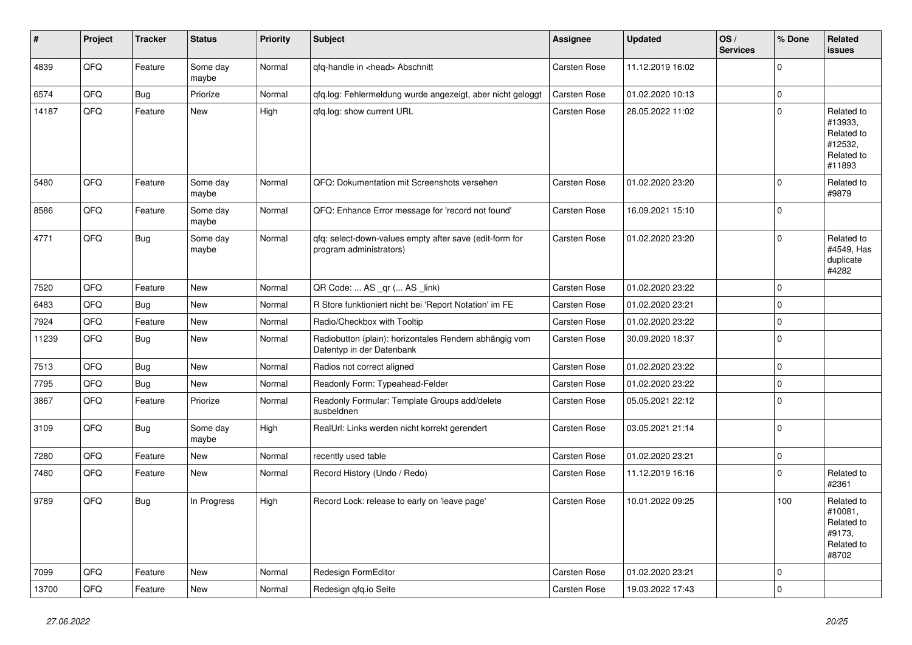| ∦     | Project | <b>Tracker</b> | <b>Status</b>     | <b>Priority</b> | <b>Subject</b>                                                                      | Assignee     | <b>Updated</b>   | OS/<br><b>Services</b> | % Done      | Related<br>issues                                                      |
|-------|---------|----------------|-------------------|-----------------|-------------------------------------------------------------------------------------|--------------|------------------|------------------------|-------------|------------------------------------------------------------------------|
| 4839  | QFQ     | Feature        | Some day<br>maybe | Normal          | gfg-handle in <head> Abschnitt</head>                                               | Carsten Rose | 11.12.2019 16:02 |                        | $\Omega$    |                                                                        |
| 6574  | QFQ     | Bug            | Priorize          | Normal          | gfg.log: Fehlermeldung wurde angezeigt, aber nicht geloggt                          | Carsten Rose | 01.02.2020 10:13 |                        | $\mathbf 0$ |                                                                        |
| 14187 | QFQ     | Feature        | New               | High            | gfg.log: show current URL                                                           | Carsten Rose | 28.05.2022 11:02 |                        | $\Omega$    | Related to<br>#13933,<br>Related to<br>#12532,<br>Related to<br>#11893 |
| 5480  | QFQ     | Feature        | Some day<br>maybe | Normal          | QFQ: Dokumentation mit Screenshots versehen                                         | Carsten Rose | 01.02.2020 23:20 |                        | $\mathbf 0$ | Related to<br>#9879                                                    |
| 8586  | QFQ     | Feature        | Some day<br>maybe | Normal          | QFQ: Enhance Error message for 'record not found'                                   | Carsten Rose | 16.09.2021 15:10 |                        | $\mathbf 0$ |                                                                        |
| 4771  | QFQ     | Bug            | Some day<br>maybe | Normal          | gfg: select-down-values empty after save (edit-form for<br>program administrators)  | Carsten Rose | 01.02.2020 23:20 |                        | $\mathbf 0$ | Related to<br>#4549, Has<br>duplicate<br>#4282                         |
| 7520  | QFQ     | Feature        | <b>New</b>        | Normal          | QR Code:  AS _qr ( AS _link)                                                        | Carsten Rose | 01.02.2020 23:22 |                        | $\mathbf 0$ |                                                                        |
| 6483  | QFQ     | <b>Bug</b>     | <b>New</b>        | Normal          | R Store funktioniert nicht bei 'Report Notation' im FE                              | Carsten Rose | 01.02.2020 23:21 |                        | $\mathbf 0$ |                                                                        |
| 7924  | QFQ     | Feature        | New               | Normal          | Radio/Checkbox with Tooltip                                                         | Carsten Rose | 01.02.2020 23:22 |                        | $\mathbf 0$ |                                                                        |
| 11239 | QFQ     | Bug            | New               | Normal          | Radiobutton (plain): horizontales Rendern abhängig vom<br>Datentyp in der Datenbank | Carsten Rose | 30.09.2020 18:37 |                        | $\mathbf 0$ |                                                                        |
| 7513  | QFQ     | <b>Bug</b>     | New               | Normal          | Radios not correct aligned                                                          | Carsten Rose | 01.02.2020 23:22 |                        | $\mathbf 0$ |                                                                        |
| 7795  | QFQ     | <b>Bug</b>     | <b>New</b>        | Normal          | Readonly Form: Typeahead-Felder                                                     | Carsten Rose | 01.02.2020 23:22 |                        | $\mathbf 0$ |                                                                        |
| 3867  | QFQ     | Feature        | Priorize          | Normal          | Readonly Formular: Template Groups add/delete<br>ausbeldnen                         | Carsten Rose | 05.05.2021 22:12 |                        | $\mathbf 0$ |                                                                        |
| 3109  | QFQ     | Bug            | Some day<br>maybe | High            | RealUrl: Links werden nicht korrekt gerendert                                       | Carsten Rose | 03.05.2021 21:14 |                        | $\mathbf 0$ |                                                                        |
| 7280  | QFQ     | Feature        | New               | Normal          | recently used table                                                                 | Carsten Rose | 01.02.2020 23:21 |                        | $\mathbf 0$ |                                                                        |
| 7480  | QFQ     | Feature        | New               | Normal          | Record History (Undo / Redo)                                                        | Carsten Rose | 11.12.2019 16:16 |                        | $\mathbf 0$ | Related to<br>#2361                                                    |
| 9789  | QFQ     | Bug            | In Progress       | High            | Record Lock: release to early on 'leave page'                                       | Carsten Rose | 10.01.2022 09:25 |                        | 100         | Related to<br>#10081,<br>Related to<br>#9173,<br>Related to<br>#8702   |
| 7099  | QFQ     | Feature        | <b>New</b>        | Normal          | Redesign FormEditor                                                                 | Carsten Rose | 01.02.2020 23:21 |                        | $\mathbf 0$ |                                                                        |
| 13700 | QFQ     | Feature        | <b>New</b>        | Normal          | Redesign gfg.io Seite                                                               | Carsten Rose | 19.03.2022 17:43 |                        | $\mathbf 0$ |                                                                        |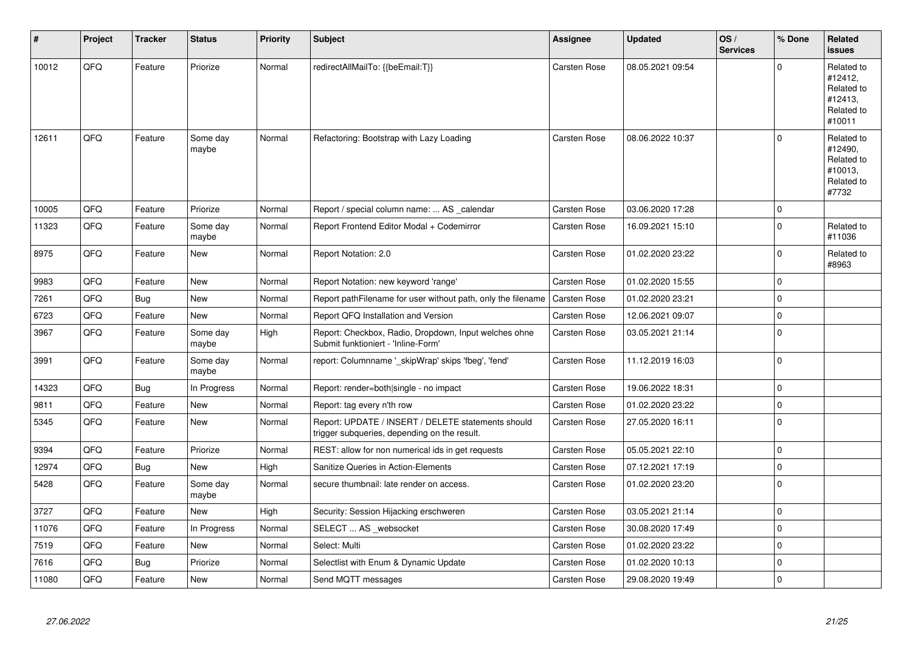| $\vert$ # | Project | <b>Tracker</b> | <b>Status</b>     | <b>Priority</b> | <b>Subject</b>                                                                                     | Assignee     | <b>Updated</b>   | OS/<br><b>Services</b> | % Done      | Related<br>issues                                                      |
|-----------|---------|----------------|-------------------|-----------------|----------------------------------------------------------------------------------------------------|--------------|------------------|------------------------|-------------|------------------------------------------------------------------------|
| 10012     | QFQ     | Feature        | Priorize          | Normal          | redirectAllMailTo: {{beEmail:T}}                                                                   | Carsten Rose | 08.05.2021 09:54 |                        | $\Omega$    | Related to<br>#12412,<br>Related to<br>#12413.<br>Related to<br>#10011 |
| 12611     | QFQ     | Feature        | Some day<br>maybe | Normal          | Refactoring: Bootstrap with Lazy Loading                                                           | Carsten Rose | 08.06.2022 10:37 |                        | $\Omega$    | Related to<br>#12490,<br>Related to<br>#10013,<br>Related to<br>#7732  |
| 10005     | QFQ     | Feature        | Priorize          | Normal          | Report / special column name:  AS _calendar                                                        | Carsten Rose | 03.06.2020 17:28 |                        | $\mathbf 0$ |                                                                        |
| 11323     | QFQ     | Feature        | Some day<br>maybe | Normal          | Report Frontend Editor Modal + Codemirror                                                          | Carsten Rose | 16.09.2021 15:10 |                        | $\Omega$    | Related to<br>#11036                                                   |
| 8975      | QFQ     | Feature        | New               | Normal          | Report Notation: 2.0                                                                               | Carsten Rose | 01.02.2020 23:22 |                        | $\Omega$    | Related to<br>#8963                                                    |
| 9983      | QFQ     | Feature        | New               | Normal          | Report Notation: new keyword 'range'                                                               | Carsten Rose | 01.02.2020 15:55 |                        | $\mathbf 0$ |                                                                        |
| 7261      | QFQ     | <b>Bug</b>     | <b>New</b>        | Normal          | Report pathFilename for user without path, only the filename                                       | Carsten Rose | 01.02.2020 23:21 |                        | 0           |                                                                        |
| 6723      | QFQ     | Feature        | New               | Normal          | Report QFQ Installation and Version                                                                | Carsten Rose | 12.06.2021 09:07 |                        | $\mathbf 0$ |                                                                        |
| 3967      | QFQ     | Feature        | Some day<br>maybe | High            | Report: Checkbox, Radio, Dropdown, Input welches ohne<br>Submit funktioniert - 'Inline-Form'       | Carsten Rose | 03.05.2021 21:14 |                        | $\pmb{0}$   |                                                                        |
| 3991      | QFQ     | Feature        | Some day<br>maybe | Normal          | report: Columnname '_skipWrap' skips 'fbeg', 'fend'                                                | Carsten Rose | 11.12.2019 16:03 |                        | $\Omega$    |                                                                        |
| 14323     | QFQ     | <b>Bug</b>     | In Progress       | Normal          | Report: render=both single - no impact                                                             | Carsten Rose | 19.06.2022 18:31 |                        | 0           |                                                                        |
| 9811      | QFQ     | Feature        | New               | Normal          | Report: tag every n'th row                                                                         | Carsten Rose | 01.02.2020 23:22 |                        | $\pmb{0}$   |                                                                        |
| 5345      | QFQ     | Feature        | New               | Normal          | Report: UPDATE / INSERT / DELETE statements should<br>trigger subqueries, depending on the result. | Carsten Rose | 27.05.2020 16:11 |                        | $\mathbf 0$ |                                                                        |
| 9394      | QFQ     | Feature        | Priorize          | Normal          | REST: allow for non numerical ids in get requests                                                  | Carsten Rose | 05.05.2021 22:10 |                        | $\mathbf 0$ |                                                                        |
| 12974     | QFQ     | <b>Bug</b>     | New               | High            | Sanitize Queries in Action-Elements                                                                | Carsten Rose | 07.12.2021 17:19 |                        | $\mathbf 0$ |                                                                        |
| 5428      | QFQ     | Feature        | Some day<br>maybe | Normal          | secure thumbnail: late render on access.                                                           | Carsten Rose | 01.02.2020 23:20 |                        | 0 l         |                                                                        |
| 3727      | QFQ     | Feature        | <b>New</b>        | High            | Security: Session Hijacking erschweren                                                             | Carsten Rose | 03.05.2021 21:14 |                        | $\pmb{0}$   |                                                                        |
| 11076     | QFQ     | Feature        | In Progress       | Normal          | SELECT  AS _websocket                                                                              | Carsten Rose | 30.08.2020 17:49 |                        | 0           |                                                                        |
| 7519      | QFQ     | Feature        | New               | Normal          | Select: Multi                                                                                      | Carsten Rose | 01.02.2020 23:22 |                        | 0           |                                                                        |
| 7616      | QFQ     | Bug            | Priorize          | Normal          | Selectlist with Enum & Dynamic Update                                                              | Carsten Rose | 01.02.2020 10:13 |                        | $\mathbf 0$ |                                                                        |
| 11080     | QFQ     | Feature        | New               | Normal          | Send MQTT messages                                                                                 | Carsten Rose | 29.08.2020 19:49 |                        | $\mathbf 0$ |                                                                        |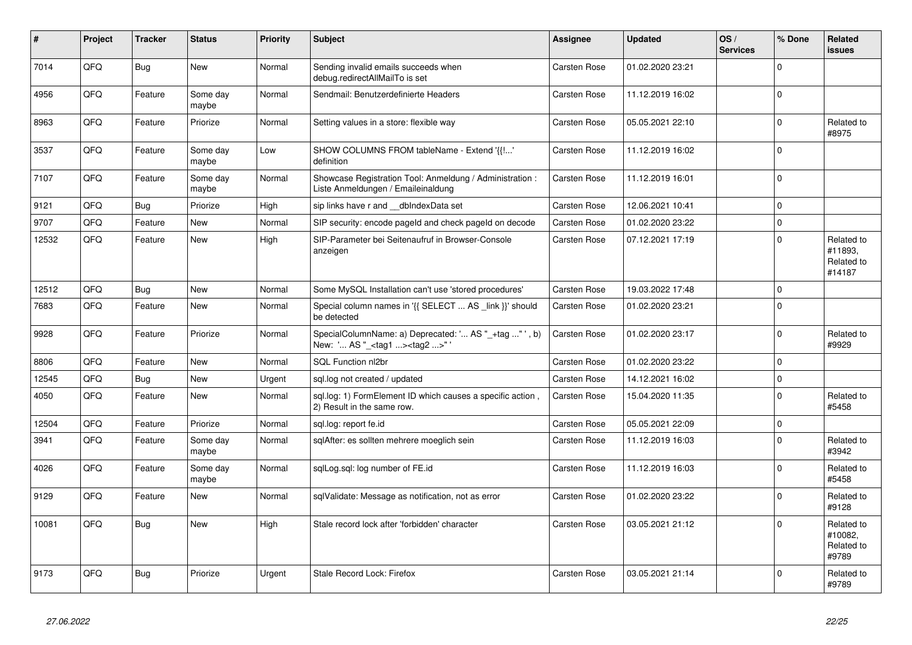| #     | Project | <b>Tracker</b> | <b>Status</b>     | <b>Priority</b> | Subject                                                                                           | Assignee     | <b>Updated</b>   | OS/<br><b>Services</b> | % Done         | Related<br><b>issues</b>                      |
|-------|---------|----------------|-------------------|-----------------|---------------------------------------------------------------------------------------------------|--------------|------------------|------------------------|----------------|-----------------------------------------------|
| 7014  | QFQ     | <b>Bug</b>     | <b>New</b>        | Normal          | Sending invalid emails succeeds when<br>debug.redirectAllMailTo is set                            | Carsten Rose | 01.02.2020 23:21 |                        | $\Omega$       |                                               |
| 4956  | QFQ     | Feature        | Some day<br>maybe | Normal          | Sendmail: Benutzerdefinierte Headers                                                              | Carsten Rose | 11.12.2019 16:02 |                        | $\Omega$       |                                               |
| 8963  | QFQ     | Feature        | Priorize          | Normal          | Setting values in a store: flexible way                                                           | Carsten Rose | 05.05.2021 22:10 |                        | $\Omega$       | Related to<br>#8975                           |
| 3537  | QFQ     | Feature        | Some day<br>maybe | Low             | SHOW COLUMNS FROM tableName - Extend '{{!'<br>definition                                          | Carsten Rose | 11.12.2019 16:02 |                        | $\Omega$       |                                               |
| 7107  | QFQ     | Feature        | Some day<br>maybe | Normal          | Showcase Registration Tool: Anmeldung / Administration :<br>Liste Anmeldungen / Emaileinaldung    | Carsten Rose | 11.12.2019 16:01 |                        | 0 l            |                                               |
| 9121  | QFQ     | Bug            | Priorize          | High            | sip links have r and dblndexData set                                                              | Carsten Rose | 12.06.2021 10:41 |                        | $\mathbf 0$    |                                               |
| 9707  | QFQ     | Feature        | <b>New</b>        | Normal          | SIP security: encode pageld and check pageld on decode                                            | Carsten Rose | 01.02.2020 23:22 |                        | $\overline{0}$ |                                               |
| 12532 | QFQ     | Feature        | New               | High            | SIP-Parameter bei Seitenaufruf in Browser-Console<br>anzeigen                                     | Carsten Rose | 07.12.2021 17:19 |                        | $\Omega$       | Related to<br>#11893,<br>Related to<br>#14187 |
| 12512 | QFQ     | <b>Bug</b>     | <b>New</b>        | Normal          | Some MySQL Installation can't use 'stored procedures'                                             | Carsten Rose | 19.03.2022 17:48 |                        | $\Omega$       |                                               |
| 7683  | QFQ     | Feature        | <b>New</b>        | Normal          | Special column names in '{{ SELECT  AS link }}' should<br>be detected                             | Carsten Rose | 01.02.2020 23:21 |                        | $\Omega$       |                                               |
| 9928  | QFQ     | Feature        | Priorize          | Normal          | SpecialColumnName: a) Deprecated: ' AS "_+tag " ', b)<br>New: ' AS "_ <tag1><tag2>"</tag2></tag1> | Carsten Rose | 01.02.2020 23:17 |                        | $\Omega$       | Related to<br>#9929                           |
| 8806  | QFQ     | Feature        | <b>New</b>        | Normal          | SQL Function nl2br                                                                                | Carsten Rose | 01.02.2020 23:22 |                        | $\Omega$       |                                               |
| 12545 | QFQ     | Bug            | New               | Urgent          | sql.log not created / updated                                                                     | Carsten Rose | 14.12.2021 16:02 |                        | $\mathbf 0$    |                                               |
| 4050  | QFQ     | Feature        | New               | Normal          | sql.log: 1) FormElement ID which causes a specific action,<br>2) Result in the same row.          | Carsten Rose | 15.04.2020 11:35 |                        | $\Omega$       | Related to<br>#5458                           |
| 12504 | QFQ     | Feature        | Priorize          | Normal          | sql.log: report fe.id                                                                             | Carsten Rose | 05.05.2021 22:09 |                        | $\mathbf 0$    |                                               |
| 3941  | QFQ     | Feature        | Some day<br>maybe | Normal          | sqlAfter: es sollten mehrere moeglich sein                                                        | Carsten Rose | 11.12.2019 16:03 |                        | $\Omega$       | Related to<br>#3942                           |
| 4026  | QFQ     | Feature        | Some day<br>maybe | Normal          | sqlLog.sql: log number of FE.id                                                                   | Carsten Rose | 11.12.2019 16:03 |                        | $\mathbf 0$    | Related to<br>#5458                           |
| 9129  | QFQ     | Feature        | New               | Normal          | sqlValidate: Message as notification, not as error                                                | Carsten Rose | 01.02.2020 23:22 |                        | $\Omega$       | Related to<br>#9128                           |
| 10081 | QFQ     | Bug            | New               | High            | Stale record lock after 'forbidden' character                                                     | Carsten Rose | 03.05.2021 21:12 |                        | $\Omega$       | Related to<br>#10082,<br>Related to<br>#9789  |
| 9173  | QFQ     | <b>Bug</b>     | Priorize          | Urgent          | Stale Record Lock: Firefox                                                                        | Carsten Rose | 03.05.2021 21:14 |                        | $\Omega$       | Related to<br>#9789                           |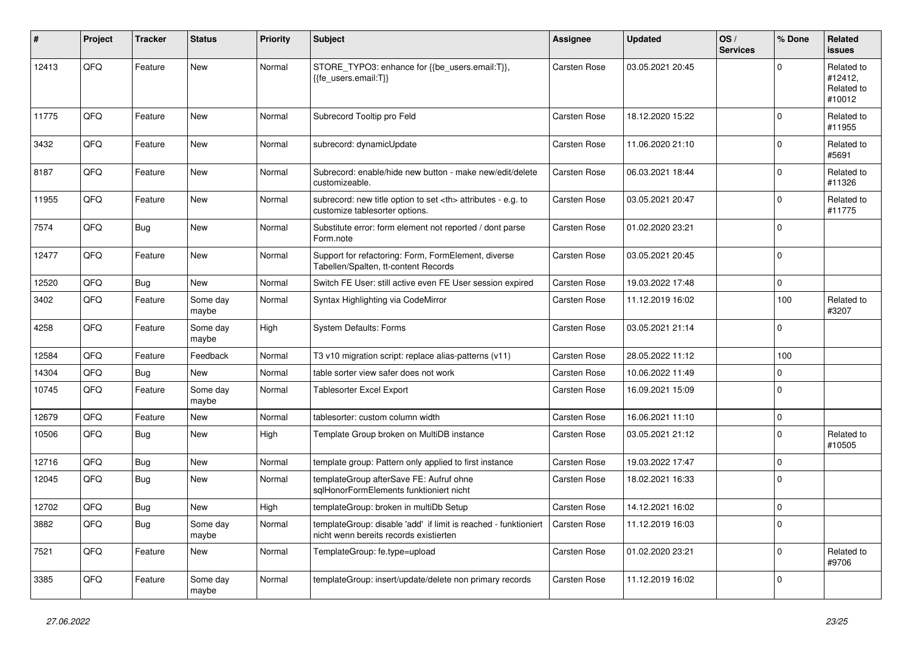| #     | Project | Tracker    | <b>Status</b>     | <b>Priority</b> | <b>Subject</b>                                                                                            | Assignee                                               | <b>Updated</b>   | OS/<br><b>Services</b> | % Done      | Related<br><b>issues</b>                      |                      |
|-------|---------|------------|-------------------|-----------------|-----------------------------------------------------------------------------------------------------------|--------------------------------------------------------|------------------|------------------------|-------------|-----------------------------------------------|----------------------|
| 12413 | QFQ     | Feature    | <b>New</b>        | Normal          | STORE_TYPO3: enhance for {{be_users.email:T}},<br>{{fe users.email:T}}                                    | <b>Carsten Rose</b>                                    | 03.05.2021 20:45 |                        | $\Omega$    | Related to<br>#12412,<br>Related to<br>#10012 |                      |
| 11775 | QFQ     | Feature    | <b>New</b>        | Normal          | Subrecord Tooltip pro Feld                                                                                | Carsten Rose                                           | 18.12.2020 15:22 |                        | $\Omega$    | Related to<br>#11955                          |                      |
| 3432  | QFQ     | Feature    | <b>New</b>        | Normal          | subrecord: dynamicUpdate                                                                                  | Carsten Rose                                           | 11.06.2020 21:10 |                        | $\Omega$    | Related to<br>#5691                           |                      |
| 8187  | QFQ     | Feature    | <b>New</b>        | Normal          | Subrecord: enable/hide new button - make new/edit/delete<br>customizeable.                                | <b>Carsten Rose</b>                                    | 06.03.2021 18:44 |                        | $\Omega$    | Related to<br>#11326                          |                      |
| 11955 | QFQ     | Feature    | <b>New</b>        | Normal          | subrecord: new title option to set <th> attributes - e.g. to<br/>customize tablesorter options.</th>      | attributes - e.g. to<br>customize tablesorter options. | Carsten Rose     | 03.05.2021 20:47       |             | $\Omega$                                      | Related to<br>#11775 |
| 7574  | QFQ     | Bug        | <b>New</b>        | Normal          | Substitute error: form element not reported / dont parse<br>Form.note                                     | Carsten Rose                                           | 01.02.2020 23:21 |                        | $\Omega$    |                                               |                      |
| 12477 | QFQ     | Feature    | <b>New</b>        | Normal          | Support for refactoring: Form, FormElement, diverse<br>Tabellen/Spalten, tt-content Records               | Carsten Rose                                           | 03.05.2021 20:45 |                        | $\mathbf 0$ |                                               |                      |
| 12520 | QFQ     | <b>Bug</b> | New               | Normal          | Switch FE User: still active even FE User session expired                                                 | Carsten Rose                                           | 19.03.2022 17:48 |                        | $\Omega$    |                                               |                      |
| 3402  | QFQ     | Feature    | Some day<br>maybe | Normal          | Syntax Highlighting via CodeMirror                                                                        | Carsten Rose                                           | 11.12.2019 16:02 |                        | 100         | Related to<br>#3207                           |                      |
| 4258  | QFQ     | Feature    | Some day<br>maybe | High            | <b>System Defaults: Forms</b>                                                                             | Carsten Rose                                           | 03.05.2021 21:14 |                        | $\Omega$    |                                               |                      |
| 12584 | QFQ     | Feature    | Feedback          | Normal          | T3 v10 migration script: replace alias-patterns (v11)                                                     | Carsten Rose                                           | 28.05.2022 11:12 |                        | 100         |                                               |                      |
| 14304 | QFQ     | Bug        | New               | Normal          | table sorter view safer does not work                                                                     | Carsten Rose                                           | 10.06.2022 11:49 |                        | $\mathbf 0$ |                                               |                      |
| 10745 | QFQ     | Feature    | Some day<br>maybe | Normal          | Tablesorter Excel Export                                                                                  | Carsten Rose                                           | 16.09.2021 15:09 |                        | $\mathbf 0$ |                                               |                      |
| 12679 | QFQ     | Feature    | <b>New</b>        | Normal          | tablesorter: custom column width                                                                          | <b>Carsten Rose</b>                                    | 16.06.2021 11:10 |                        | $\Omega$    |                                               |                      |
| 10506 | QFQ     | <b>Bug</b> | <b>New</b>        | High            | Template Group broken on MultiDB instance                                                                 | Carsten Rose                                           | 03.05.2021 21:12 |                        | $\Omega$    | Related to<br>#10505                          |                      |
| 12716 | QFQ     | <b>Bug</b> | <b>New</b>        | Normal          | template group: Pattern only applied to first instance                                                    | Carsten Rose                                           | 19.03.2022 17:47 |                        | $\Omega$    |                                               |                      |
| 12045 | QFQ     | Bug        | <b>New</b>        | Normal          | templateGroup afterSave FE: Aufruf ohne<br>sglHonorFormElements funktioniert nicht                        | Carsten Rose                                           | 18.02.2021 16:33 |                        | $\Omega$    |                                               |                      |
| 12702 | QFQ     | Bug        | <b>New</b>        | High            | templateGroup: broken in multiDb Setup                                                                    | Carsten Rose                                           | 14.12.2021 16:02 |                        | $\mathbf 0$ |                                               |                      |
| 3882  | QFQ     | Bug        | Some day<br>maybe | Normal          | templateGroup: disable 'add' if limit is reached - funktioniert<br>nicht wenn bereits records existierten | Carsten Rose                                           | 11.12.2019 16:03 |                        | $\Omega$    |                                               |                      |
| 7521  | QFQ     | Feature    | New               | Normal          | TemplateGroup: fe.type=upload                                                                             | Carsten Rose                                           | 01.02.2020 23:21 |                        | $\mathbf 0$ | Related to<br>#9706                           |                      |
| 3385  | QFQ     | Feature    | Some day<br>maybe | Normal          | templateGroup: insert/update/delete non primary records                                                   | Carsten Rose                                           | 11.12.2019 16:02 |                        | $\Omega$    |                                               |                      |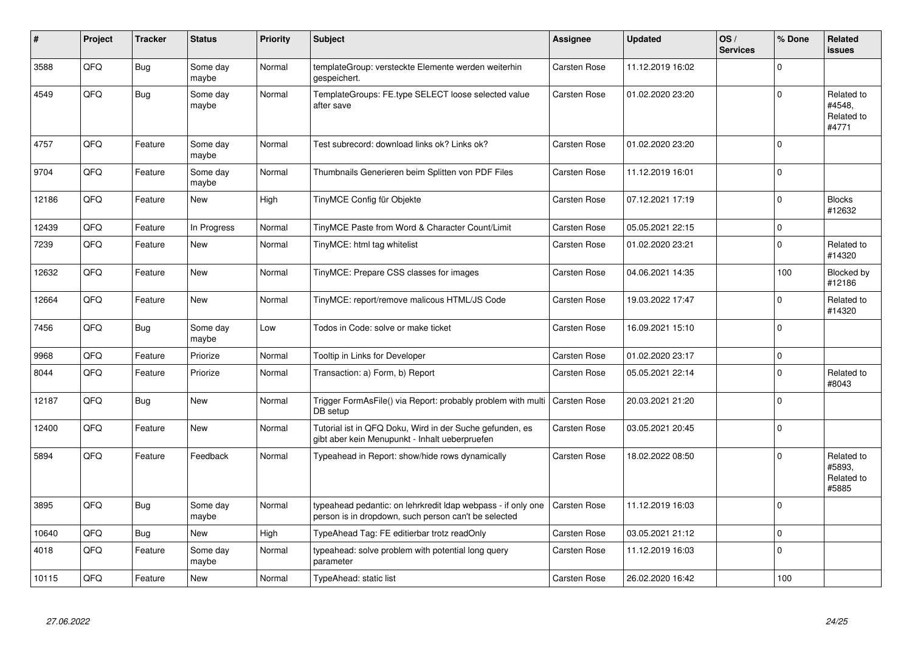| #     | Project | <b>Tracker</b> | <b>Status</b>     | <b>Priority</b> | <b>Subject</b>                                                                                                       | Assignee            | <b>Updated</b>   | OS/<br><b>Services</b> | % Done      | Related<br><b>issues</b>                    |
|-------|---------|----------------|-------------------|-----------------|----------------------------------------------------------------------------------------------------------------------|---------------------|------------------|------------------------|-------------|---------------------------------------------|
| 3588  | QFQ     | Bug            | Some day<br>maybe | Normal          | templateGroup: versteckte Elemente werden weiterhin<br>gespeichert.                                                  | Carsten Rose        | 11.12.2019 16:02 |                        | $\Omega$    |                                             |
| 4549  | QFQ     | <b>Bug</b>     | Some day<br>maybe | Normal          | TemplateGroups: FE.type SELECT loose selected value<br>after save                                                    | Carsten Rose        | 01.02.2020 23:20 |                        | $\Omega$    | Related to<br>#4548.<br>Related to<br>#4771 |
| 4757  | QFQ     | Feature        | Some day<br>maybe | Normal          | Test subrecord: download links ok? Links ok?                                                                         | Carsten Rose        | 01.02.2020 23:20 |                        | $\Omega$    |                                             |
| 9704  | QFQ     | Feature        | Some day<br>maybe | Normal          | Thumbnails Generieren beim Splitten von PDF Files                                                                    | Carsten Rose        | 11.12.2019 16:01 |                        | $\Omega$    |                                             |
| 12186 | QFQ     | Feature        | <b>New</b>        | High            | TinyMCE Config für Objekte                                                                                           | Carsten Rose        | 07.12.2021 17:19 |                        | $\Omega$    | <b>Blocks</b><br>#12632                     |
| 12439 | QFQ     | Feature        | In Progress       | Normal          | TinyMCE Paste from Word & Character Count/Limit                                                                      | Carsten Rose        | 05.05.2021 22:15 |                        | $\mathbf 0$ |                                             |
| 7239  | QFQ     | Feature        | <b>New</b>        | Normal          | TinyMCE: html tag whitelist                                                                                          | Carsten Rose        | 01.02.2020 23:21 |                        | $\Omega$    | Related to<br>#14320                        |
| 12632 | QFQ     | Feature        | <b>New</b>        | Normal          | TinyMCE: Prepare CSS classes for images                                                                              | Carsten Rose        | 04.06.2021 14:35 |                        | 100         | Blocked by<br>#12186                        |
| 12664 | QFQ     | Feature        | <b>New</b>        | Normal          | TinyMCE: report/remove malicous HTML/JS Code                                                                         | Carsten Rose        | 19.03.2022 17:47 |                        | $\Omega$    | Related to<br>#14320                        |
| 7456  | QFQ     | <b>Bug</b>     | Some day<br>maybe | Low             | Todos in Code: solve or make ticket                                                                                  | Carsten Rose        | 16.09.2021 15:10 |                        | $\Omega$    |                                             |
| 9968  | QFQ     | Feature        | Priorize          | Normal          | Tooltip in Links for Developer                                                                                       | Carsten Rose        | 01.02.2020 23:17 |                        | $\mathbf 0$ |                                             |
| 8044  | QFQ     | Feature        | Priorize          | Normal          | Transaction: a) Form, b) Report                                                                                      | Carsten Rose        | 05.05.2021 22:14 |                        | $\Omega$    | Related to<br>#8043                         |
| 12187 | QFQ     | Bug            | <b>New</b>        | Normal          | Trigger FormAsFile() via Report: probably problem with multi<br>DB setup                                             | <b>Carsten Rose</b> | 20.03.2021 21:20 |                        | $\Omega$    |                                             |
| 12400 | QFQ     | Feature        | <b>New</b>        | Normal          | Tutorial ist in QFQ Doku, Wird in der Suche gefunden, es<br>gibt aber kein Menupunkt - Inhalt ueberpruefen           | Carsten Rose        | 03.05.2021 20:45 |                        | $\mathbf 0$ |                                             |
| 5894  | QFQ     | Feature        | Feedback          | Normal          | Typeahead in Report: show/hide rows dynamically                                                                      | Carsten Rose        | 18.02.2022 08:50 |                        | $\Omega$    | Related to<br>#5893.<br>Related to<br>#5885 |
| 3895  | QFQ     | Bug            | Some day<br>maybe | Normal          | typeahead pedantic: on lehrkredit Idap webpass - if only one<br>person is in dropdown, such person can't be selected | <b>Carsten Rose</b> | 11.12.2019 16:03 |                        | $\Omega$    |                                             |
| 10640 | QFQ     | Bug            | <b>New</b>        | High            | TypeAhead Tag: FE editierbar trotz readOnly                                                                          | Carsten Rose        | 03.05.2021 21:12 |                        | $\mathbf 0$ |                                             |
| 4018  | QFQ     | Feature        | Some day<br>maybe | Normal          | typeahead: solve problem with potential long query<br>parameter                                                      | Carsten Rose        | 11.12.2019 16:03 |                        | $\Omega$    |                                             |
| 10115 | QFQ     | Feature        | New               | Normal          | TypeAhead: static list                                                                                               | Carsten Rose        | 26.02.2020 16:42 |                        | 100         |                                             |